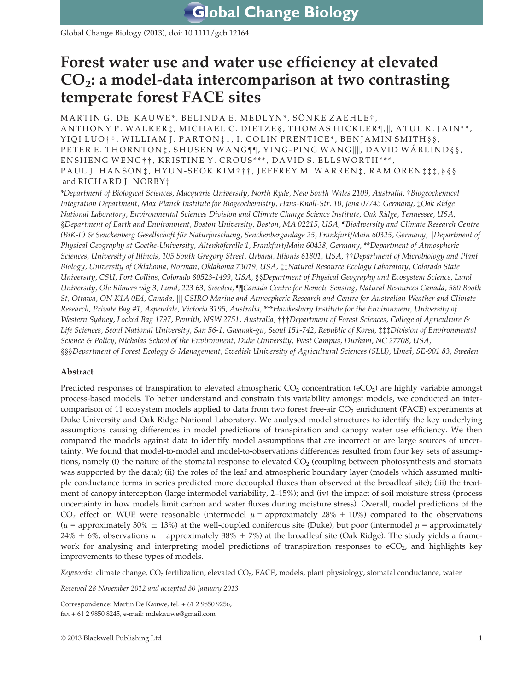Global Change Biology (2013), doi: 10.1111/gcb.12164

# Forest water use and water use efficiency at elevated  $CO<sub>2</sub>:$  a model-data intercomparison at two contrasting temperate forest FACE sites

MARTIN G. DE KAUWE\*, BELINDA E. MEDLYN\*, SÖNKE ZAEHLE†, ANTHONY P. WALKER‡, MICHAEL C. DIETZE§, THOMAS HICKLER¶, ||, ATUL K. JAIN\*\*, YIQI LUO††, WILLIAM J. PARTON: ‡;, I. COLIN PRENTICE\*, BENJAMIN SMITH § §, PETER E. THORNTON $\ddagger$ , SHUSEN WANG $\P$ , YING-PING WANG  $\Vert$ , DAVID WÄRLIND§§, ENSHENG WENG † † , KRISTINE Y. CROUS \*\*\* , DAVID S. ELLSWORTH \*\*\* , PAUL J. HANSON:, HYUN-SEOK KIM † † †, JEFFREY M. WARREN: , RAM OREN: † : \*, § § § and RICHARD J. NORBY‡

\*Department of Biological Sciences, Macquarie University, North Ryde, New South Wales 2109, Australia, †Biogeochemical Integration Department, Max Planck Institute for Biogeochemistry, Hans-Knöll-Str. 10, Jena 07745 Germany, ‡Oak Ridge National Laboratory, Environmental Sciences Division and Climate Change Science Institute, Oak Ridge, Tennessee, USA, §Department of Earth and Environment, Boston University, Boston, MA 02215, USA, ¶Biodiversity and Climate Research Centre (BiK-F) & Senckenberg Gesellschaft für Naturforschung, Senckenberganlage 25, Frankfurt/Main 60325, Germany, *Department of* Physical Geography at Goethe-University, Altenhöferalle 1, Frankfurt/Main 60438, Germany, \*\*Department of Atmospheric Sciences, University of Illinois, 105 South Gregory Street, Urbana, Illionis 61801, USA, ††Department of Microbiology and Plant Biology, University of Oklahoma, Norman, Oklahoma 73019, USA, ‡‡Natural Resource Ecology Laboratory, Colorado State University, CSU, Fort Collins, Colorado 80523-1499, USA, §§Department of Physical Geography and Ecosystem Science, Lund University, Ole Römers väg 3, Lund, 223 63, Sweden, ¶[Canada Centre for Remote Sensing, Natural Resources Canada, 580 Booth St, Ottawa, ON K1A 0E4, Canada, ||||CSIRO Marine and Atmospheric Research and Centre for Australian Weather and Climate Research, Private Bag #1, Aspendale, Victoria 3195, Australia, \*\*\*Hawkesbury Institute for the Environment, University of Western Sydney, Locked Bag 1797, Penrith, NSW 2751, Australia, †††Department of Forest Sciences, College of Agriculture & Life Sciences, Seoul National University, San 56-1, Gwanak-gu, Seoul 151-742, Republic of Korea, ‡‡‡Division of Environmental Science & Policy, Nicholas School of the Environment, Duke University, West Campus, Durham, NC 27708, USA, §§§Department of Forest Ecology & Management, Swedish University of Agricultural Sciences (SLU), Umeå, SE-901 83, Sweden

# Abstract

Predicted responses of transpiration to elevated atmospheric  $CO<sub>2</sub>$  concentration (eCO<sub>2</sub>) are highly variable amongst process-based models. To better understand and constrain this variability amongst models, we conducted an intercomparison of 11 ecosystem models applied to data from two forest free-air  $CO<sub>2</sub>$  enrichment (FACE) experiments at Duke University and Oak Ridge National Laboratory. We analysed model structures to identify the key underlying assumptions causing differences in model predictions of transpiration and canopy water use efficiency. We then compared the models against data to identify model assumptions that are incorrect or are large sources of uncertainty. We found that model-to-model and model-to-observations differences resulted from four key sets of assumptions, namely (i) the nature of the stomatal response to elevated CO<sub>2</sub> (coupling between photosynthesis and stomata was supported by the data); (ii) the roles of the leaf and atmospheric boundary layer (models which assumed multiple conductance terms in series predicted more decoupled fluxes than observed at the broadleaf site); (iii) the treatment of canopy interception (large intermodel variability, 2–15%); and (iv) the impact of soil moisture stress (process uncertainty in how models limit carbon and water fluxes during moisture stress). Overall, model predictions of the CO<sub>2</sub> effect on WUE were reasonable (intermodel  $\mu$  = approximately 28%  $\pm$  10%) compared to the observations  $(\mu =$  approximately 30%  $\pm$  13%) at the well-coupled coniferous site (Duke), but poor (intermodel  $\mu$  = approximately  $24\% \pm 6\%$ ; observations  $\mu$  = approximately 38%  $\pm 7\%$ ) at the broadleaf site (Oak Ridge). The study yields a framework for analysing and interpreting model predictions of transpiration responses to  $eCO<sub>2</sub>$ , and highlights key improvements to these types of models.

Keywords: climate change, CO<sub>2</sub> fertilization, elevated CO<sub>2</sub>, FACE, models, plant physiology, stomatal conductance, water

Received 28 November 2012 and accepted 30 January 2013

Correspondence: Martin De Kauwe, tel. + 61 2 9850 9256, fax + 61 2 9850 8245, e-mail: mdekauwe@gmail.com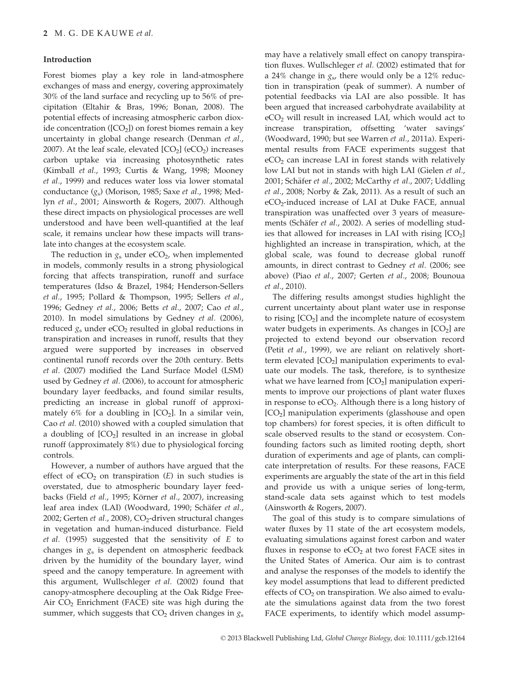## Introduction

Forest biomes play a key role in land-atmosphere exchanges of mass and energy, covering approximately 30% of the land surface and recycling up to 56% of precipitation (Eltahir & Bras, 1996; Bonan, 2008). The potential effects of increasing atmospheric carbon dioxide concentration ( $[CO<sub>2</sub>]$ ) on forest biomes remain a key uncertainty in global change research (Denman et al., 2007). At the leaf scale, elevated  $[CO<sub>2</sub>]$  (eCO<sub>2</sub>) increases carbon uptake via increasing photosynthetic rates (Kimball et al., 1993; Curtis & Wang, 1998; Mooney et al., 1999) and reduces water loss via lower stomatal conductance  $(g_s)$  (Morison, 1985; Saxe et al., 1998; Medlyn et al., 2001; Ainsworth & Rogers, 2007). Although these direct impacts on physiological processes are well understood and have been well-quantified at the leaf scale, it remains unclear how these impacts will translate into changes at the ecosystem scale.

The reduction in  $g_s$  under eCO<sub>2</sub>, when implemented in models, commonly results in a strong physiological forcing that affects transpiration, runoff and surface temperatures (Idso & Brazel, 1984; Henderson-Sellers et al., 1995; Pollard & Thompson, 1995; Sellers et al., 1996; Gedney et al., 2006; Betts et al., 2007; Cao et al., 2010). In model simulations by Gedney et al. (2006), reduced  $g_s$  under eCO<sub>2</sub> resulted in global reductions in transpiration and increases in runoff, results that they argued were supported by increases in observed continental runoff records over the 20th century. Betts et al. (2007) modified the Land Surface Model (LSM) used by Gedney et al. (2006), to account for atmospheric boundary layer feedbacks, and found similar results, predicting an increase in global runoff of approximately 6% for a doubling in  $[CO<sub>2</sub>]$ . In a similar vein, Cao et al. (2010) showed with a coupled simulation that a doubling of  $[CO<sub>2</sub>]$  resulted in an increase in global runoff (approximately 8%) due to physiological forcing controls.

However, a number of authors have argued that the effect of  $eCO<sub>2</sub>$  on transpiration (E) in such studies is overstated, due to atmospheric boundary layer feedbacks (Field et al., 1995; Körner et al., 2007), increasing leaf area index (LAI) (Woodward, 1990; Schäfer et al., 2002; Gerten et al., 2008),  $CO<sub>2</sub>$ -driven structural changes in vegetation and human-induced disturbance. Field et al. (1995) suggested that the sensitivity of  $E$  to changes in  $g_s$  is dependent on atmospheric feedback driven by the humidity of the boundary layer, wind speed and the canopy temperature. In agreement with this argument, Wullschleger et al. (2002) found that canopy-atmosphere decoupling at the Oak Ridge Free-Air  $CO<sub>2</sub>$  Enrichment (FACE) site was high during the summer, which suggests that  $CO<sub>2</sub>$  driven changes in  $g<sub>s</sub>$ 

may have a relatively small effect on canopy transpiration fluxes. Wullschleger et al. (2002) estimated that for a 24% change in  $g_s$ , there would only be a 12% reduction in transpiration (peak of summer). A number of potential feedbacks via LAI are also possible. It has been argued that increased carbohydrate availability at eCO2 will result in increased LAI, which would act to increase transpiration, offsetting 'water savings' (Woodward, 1990; but see Warren et al., 2011a). Experimental results from FACE experiments suggest that  $eCO<sub>2</sub>$  can increase LAI in forest stands with relatively low LAI but not in stands with high LAI (Gielen et al., 2001; Schäfer et al., 2002; McCarthy et al., 2007; Uddling et al., 2008; Norby & Zak, 2011). As a result of such an  $eCO<sub>2</sub>$ -induced increase of LAI at Duke FACE, annual transpiration was unaffected over 3 years of measurements (Schäfer et al., 2002). A series of modelling studies that allowed for increases in LAI with rising  $[CO<sub>2</sub>]$ highlighted an increase in transpiration, which, at the global scale, was found to decrease global runoff amounts, in direct contrast to Gedney et al. (2006; see above) (Piao et al., 2007; Gerten et al., 2008; Bounoua et al., 2010).

The differing results amongst studies highlight the current uncertainty about plant water use in response to rising  $[CO<sub>2</sub>]$  and the incomplete nature of ecosystem water budgets in experiments. As changes in  $[CO<sub>2</sub>]$  are projected to extend beyond our observation record (Petit et al., 1999), we are reliant on relatively shortterm elevated  $[CO<sub>2</sub>]$  manipulation experiments to evaluate our models. The task, therefore, is to synthesize what we have learned from  $[CO<sub>2</sub>]$  manipulation experiments to improve our projections of plant water fluxes in response to  $eCO<sub>2</sub>$ . Although there is a long history of  $[CO<sub>2</sub>]$  manipulation experiments (glasshouse and open top chambers) for forest species, it is often difficult to scale observed results to the stand or ecosystem. Confounding factors such as limited rooting depth, short duration of experiments and age of plants, can complicate interpretation of results. For these reasons, FACE experiments are arguably the state of the art in this field and provide us with a unique series of long-term, stand-scale data sets against which to test models (Ainsworth & Rogers, 2007).

The goal of this study is to compare simulations of water fluxes by 11 state of the art ecosystem models, evaluating simulations against forest carbon and water fluxes in response to  $eCO<sub>2</sub>$  at two forest FACE sites in the United States of America. Our aim is to contrast and analyse the responses of the models to identify the key model assumptions that lead to different predicted effects of  $CO<sub>2</sub>$  on transpiration. We also aimed to evaluate the simulations against data from the two forest FACE experiments, to identify which model assump-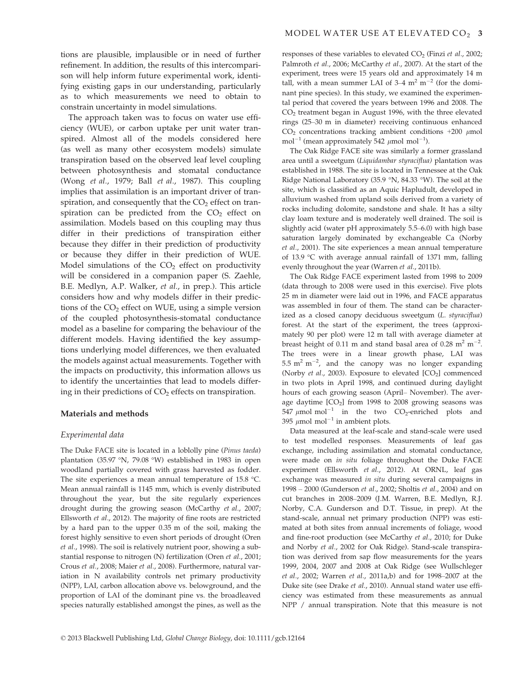tions are plausible, implausible or in need of further refinement. In addition, the results of this intercomparison will help inform future experimental work, identifying existing gaps in our understanding, particularly as to which measurements we need to obtain to constrain uncertainty in model simulations.

The approach taken was to focus on water use efficiency (WUE), or carbon uptake per unit water transpired. Almost all of the models considered here (as well as many other ecosystem models) simulate transpiration based on the observed leaf level coupling between photosynthesis and stomatal conductance (Wong et al., 1979; Ball et al., 1987). This coupling implies that assimilation is an important driver of transpiration, and consequently that the  $CO<sub>2</sub>$  effect on transpiration can be predicted from the  $CO<sub>2</sub>$  effect on assimilation. Models based on this coupling may thus differ in their predictions of transpiration either because they differ in their prediction of productivity or because they differ in their prediction of WUE. Model simulations of the  $CO<sub>2</sub>$  effect on productivity will be considered in a companion paper (S. Zaehle, B.E. Medlyn, A.P. Walker, et al., in prep.). This article considers how and why models differ in their predictions of the  $CO<sub>2</sub>$  effect on WUE, using a simple version of the coupled photosynthesis-stomatal conductance model as a baseline for comparing the behaviour of the different models. Having identified the key assumptions underlying model differences, we then evaluated the models against actual measurements. Together with the impacts on productivity, this information allows us to identify the uncertainties that lead to models differing in their predictions of  $CO<sub>2</sub>$  effects on transpiration.

#### Materials and methods

#### Experimental data

The Duke FACE site is located in a loblolly pine (Pinus taeda) plantation (35.97 °N, 79.08 °W) established in 1983 in open woodland partially covered with grass harvested as fodder. The site experiences a mean annual temperature of 15.8 °C. Mean annual rainfall is 1145 mm, which is evenly distributed throughout the year, but the site regularly experiences drought during the growing season (McCarthy et al., 2007; Ellsworth et al., 2012). The majority of fine roots are restricted by a hard pan to the upper 0.35 m of the soil, making the forest highly sensitive to even short periods of drought (Oren et al., 1998). The soil is relatively nutrient poor, showing a substantial response to nitrogen (N) fertilization (Oren et al., 2001; Crous et al., 2008; Maier et al., 2008). Furthermore, natural variation in N availability controls net primary productivity (NPP), LAI, carbon allocation above vs. belowground, and the proportion of LAI of the dominant pine vs. the broadleaved species naturally established amongst the pines, as well as the responses of these variables to elevated  $CO<sub>2</sub>$  (Finzi *et al.*, 2002; Palmroth et al., 2006; McCarthy et al., 2007). At the start of the experiment, trees were 15 years old and approximately 14 m tall, with a mean summer LAI of  $3-4$  m<sup>2</sup> m<sup>-2</sup> (for the dominant pine species). In this study, we examined the experimental period that covered the years between 1996 and 2008. The  $CO<sub>2</sub>$  treatment began in August 1996, with the three elevated rings (25–30 m in diameter) receiving continuous enhanced  $CO<sub>2</sub>$  concentrations tracking ambient conditions +200  $\mu$ mol mol<sup>-1</sup> (mean approximately 542  $\mu$ mol mol<sup>-1</sup>).

The Oak Ridge FACE site was similarly a former grassland area until a sweetgum (Liquidambar styraciflua) plantation was established in 1988. The site is located in Tennessee at the Oak Ridge National Laboratory (35.9 °N, 84.33 °W). The soil at the site, which is classified as an Aquic Hapludult, developed in alluvium washed from upland soils derived from a variety of rocks including dolomite, sandstone and shale. It has a silty clay loam texture and is moderately well drained. The soil is slightly acid (water pH approximately 5.5–6.0) with high base saturation largely dominated by exchangeable Ca (Norby et al., 2001). The site experiences a mean annual temperature of 13.9 °C with average annual rainfall of 1371 mm, falling evenly throughout the year (Warren et al., 2011b).

The Oak Ridge FACE experiment lasted from 1998 to 2009 (data through to 2008 were used in this exercise). Five plots 25 m in diameter were laid out in 1996, and FACE apparatus was assembled in four of them. The stand can be characterized as a closed canopy deciduous sweetgum (L. styraciflua) forest. At the start of the experiment, the trees (approximately 90 per plot) were 12 m tall with average diameter at breast height of 0.11 m and stand basal area of 0.28  $m^2 m^{-2}$ . The trees were in a linear growth phase, LAI was  $5.5 \text{ m}^2 \text{ m}^{-2}$ , and the canopy was no longer expanding (Norby et al., 2003). Exposure to elevated  $[CO<sub>2</sub>]$  commenced in two plots in April 1998, and continued during daylight hours of each growing season (April– November). The average daytime  $[CO<sub>2</sub>]$  from 1998 to 2008 growing seasons was 547  $\mu$ mol mol<sup>-1</sup> in the two CO<sub>2</sub>-enriched plots and 395  $\mu$ mol mol<sup>-1</sup> in ambient plots.

Data measured at the leaf-scale and stand-scale were used to test modelled responses. Measurements of leaf gas exchange, including assimilation and stomatal conductance, were made on in situ foliage throughout the Duke FACE experiment (Ellsworth et al., 2012). At ORNL, leaf gas exchange was measured in situ during several campaigns in 1998 – 2000 (Gunderson et al., 2002; Sholtis et al., 2004) and on cut branches in 2008–2009 (J.M. Warren, B.E. Medlyn, R.J. Norby, C.A. Gunderson and D.T. Tissue, in prep). At the stand-scale, annual net primary production (NPP) was estimated at both sites from annual increments of foliage, wood and fine-root production (see McCarthy et al., 2010; for Duke and Norby et al., 2002 for Oak Ridge). Stand-scale transpiration was derived from sap flow measurements for the years 1999, 2004, 2007 and 2008 at Oak Ridge (see Wullschleger et al., 2002; Warren et al., 2011a,b) and for 1998–2007 at the Duke site (see Drake et al., 2010). Annual stand water use efficiency was estimated from these measurements as annual NPP / annual transpiration. Note that this measure is not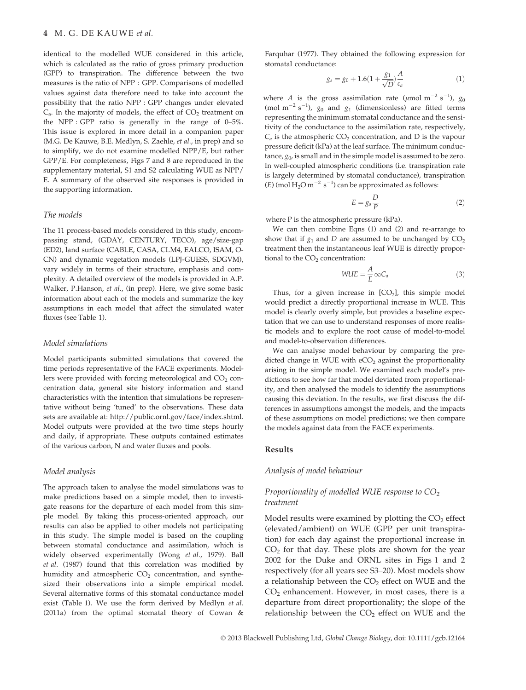identical to the modelled WUE considered in this article, which is calculated as the ratio of gross primary production (GPP) to transpiration. The difference between the two measures is the ratio of NPP : GPP. Comparisons of modelled values against data therefore need to take into account the possibility that the ratio NPP : GPP changes under elevated  $C_{a}$ . In the majority of models, the effect of  $CO_{2}$  treatment on the NPP : GPP ratio is generally in the range of 0–5%. This issue is explored in more detail in a companion paper (M.G. De Kauwe, B.E. Medlyn, S. Zaehle, et al., in prep) and so to simplify, we do not examine modelled NPP/E, but rather GPP/E. For completeness, Figs 7 and 8 are reproduced in the supplementary material, S1 and S2 calculating WUE as NPP/ E. A summary of the observed site responses is provided in the supporting information.

#### The models

The 11 process-based models considered in this study, encompassing stand, (GDAY, CENTURY, TECO), age/size-gap (ED2), land surface (CABLE, CASA, CLM4, EALCO, ISAM, O-CN) and dynamic vegetation models (LPJ-GUESS, SDGVM), vary widely in terms of their structure, emphasis and complexity. A detailed overview of the models is provided in A.P. Walker, P.Hanson, et al., (in prep). Here, we give some basic information about each of the models and summarize the key assumptions in each model that affect the simulated water fluxes (see Table 1).

#### Model simulations

Model participants submitted simulations that covered the time periods representative of the FACE experiments. Modellers were provided with forcing meteorological and  $CO<sub>2</sub>$  concentration data, general site history information and stand characteristics with the intention that simulations be representative without being 'tuned' to the observations. These data sets are available at: http://public.ornl.gov/face/index.shtml. Model outputs were provided at the two time steps hourly and daily, if appropriate. These outputs contained estimates of the various carbon, N and water fluxes and pools.

#### Model analysis

The approach taken to analyse the model simulations was to make predictions based on a simple model, then to investigate reasons for the departure of each model from this simple model. By taking this process-oriented approach, our results can also be applied to other models not participating in this study. The simple model is based on the coupling between stomatal conductance and assimilation, which is widely observed experimentally (Wong et al., 1979). Ball et al. (1987) found that this correlation was modified by humidity and atmospheric  $CO<sub>2</sub>$  concentration, and synthesized their observations into a simple empirical model. Several alternative forms of this stomatal conductance model exist (Table 1). We use the form derived by Medlyn et al. (2011a) from the optimal stomatal theory of Cowan & Farquhar (1977). They obtained the following expression for stomatal conductance:

$$
g_s = g_0 + 1.6(1 + \frac{g_1}{\sqrt{D}}) \frac{A}{c_a} \tag{1}
$$

where *A* is the gross assimilation rate ( $\mu$ mol m<sup>-2</sup> s<sup>-1</sup>),  $g_0$ (mol m<sup>-2</sup> s<sup>-1</sup>),  $g_0$  and  $g_1$  (dimensionless) are fitted terms representing the minimum stomatal conductance and the sensitivity of the conductance to the assimilation rate, respectively,  $C_a$  is the atmospheric  $CO_2$  concentration, and D is the vapour pressure deficit (kPa) at the leaf surface. The minimum conductance,  $g_0$ , is small and in the simple model is assumed to be zero. In well-coupled atmospheric conditions (i.e. transpiration rate is largely determined by stomatal conductance), transpiration  $(E)$  (mol  $H_2O$  m<sup>-2</sup> s<sup>-1</sup>) can be approximated as follows:

$$
E = g_s \frac{D}{P}
$$
 (2)

where P is the atmospheric pressure (kPa).

We can then combine Eqns (1) and (2) and re-arrange to show that if  $g_1$  and D are assumed to be unchanged by  $CO_2$ treatment then the instantaneous leaf WUE is directly proportional to the  $CO<sub>2</sub>$  concentration:

$$
WUE = \frac{A}{E} \infty C_a \tag{3}
$$

Thus, for a given increase in  $[CO<sub>2</sub>]$ , this simple model would predict a directly proportional increase in WUE. This model is clearly overly simple, but provides a baseline expectation that we can use to understand responses of more realistic models and to explore the root cause of model-to-model and model-to-observation differences.

We can analyse model behaviour by comparing the predicted change in WUE with  $eCO<sub>2</sub>$  against the proportionality arising in the simple model. We examined each model's predictions to see how far that model deviated from proportionality, and then analysed the models to identify the assumptions causing this deviation. In the results, we first discuss the differences in assumptions amongst the models, and the impacts of these assumptions on model predictions; we then compare the models against data from the FACE experiments.

#### Results

#### Analysis of model behaviour

# Proportionality of modelled WUE response to  $CO<sub>2</sub>$ treatment

Model results were examined by plotting the  $CO<sub>2</sub>$  effect (elevated/ambient) on WUE (GPP per unit transpiration) for each day against the proportional increase in  $CO<sub>2</sub>$  for that day. These plots are shown for the year 2002 for the Duke and ORNL sites in Figs 1 and 2 respectively (for all years see S3–20). Most models show a relationship between the  $CO<sub>2</sub>$  effect on WUE and the  $CO<sub>2</sub>$  enhancement. However, in most cases, there is a departure from direct proportionality; the slope of the relationship between the  $CO<sub>2</sub>$  effect on WUE and the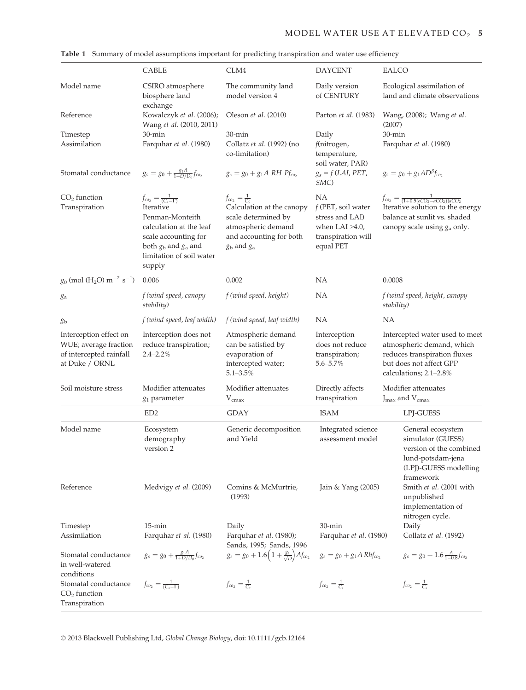|                                                                                              | CABLE                                                                                                                                                                                    | CLM4                                                                                                                                                         | <b>DAYCENT</b>                                                                                                                                                         | EALCO                                                                                                                                                    |  |
|----------------------------------------------------------------------------------------------|------------------------------------------------------------------------------------------------------------------------------------------------------------------------------------------|--------------------------------------------------------------------------------------------------------------------------------------------------------------|------------------------------------------------------------------------------------------------------------------------------------------------------------------------|----------------------------------------------------------------------------------------------------------------------------------------------------------|--|
| Model name                                                                                   | CSIRO atmosphere<br>biosphere land                                                                                                                                                       | The community land<br>model version 4                                                                                                                        | Daily version<br>of CENTURY                                                                                                                                            | Ecological assimilation of<br>land and climate observations                                                                                              |  |
| Reference                                                                                    | exchange<br>Kowalczyk et al. (2006);<br>Wang et al. (2010, 2011)                                                                                                                         | Oleson et al. (2010)                                                                                                                                         | Parton et al. (1983)                                                                                                                                                   | Wang, (2008); Wang et al.<br>(2007)                                                                                                                      |  |
| Timestep<br>Assimilation                                                                     | 30-min<br>Farquhar et al. (1980)                                                                                                                                                         | $30$ -min<br>Collatz et al. (1992) (no<br>co-limitation)                                                                                                     | Daily<br>f(nitrogen,<br>temperature,<br>soil water, PAR)                                                                                                               | $30$ -min<br>Farquhar et al. (1980)                                                                                                                      |  |
| Stomatal conductance                                                                         | $g_s = g_0 + \frac{g_1 A}{1 + D/D_0} f_{c o_2}$                                                                                                                                          | $g_s = g_0 + g_1 A RH P f_{co_2}$                                                                                                                            | $g_s = f(LAI, PET,$<br>SMC)                                                                                                                                            | $g_s = g_0 + g_1 AD^{\beta} f_{co}$                                                                                                                      |  |
| $CO2$ function<br>Transpiration                                                              | $f_{co_2} = \frac{1}{(C_s - \Gamma)}$<br>Iterative<br>Penman-Monteith<br>calculation at the leaf<br>scale accounting for<br>both $gb$ and $ga$ and<br>limitation of soil water<br>supply | $f_{co_2}=\frac{1}{C_S}$<br>Calculation at the canopy<br>scale determined by<br>atmospheric demand<br>and accounting for both<br>$g_{\rm b}$ and $g_{\rm a}$ | ΝA<br>$f$ (PET, soil water<br>stress and LAI)<br>when LAI $>4.0$ ,<br>transpiration will<br>equal PET                                                                  | $f_{co_2} = \frac{1}{(1+0.5(eCO_2 - aCO_2))aCO_2}$<br>Iterative solution to the energy<br>balance at sunlit vs. shaded<br>canopy scale using $g_a$ only. |  |
| $g_0$ (mol (H <sub>2</sub> O) m <sup>-2</sup> s <sup>-1</sup> )                              | 0.006                                                                                                                                                                                    | 0.002                                                                                                                                                        | <b>NA</b>                                                                                                                                                              | 0.0008                                                                                                                                                   |  |
| ga                                                                                           | f (wind speed, canopy<br>stability)                                                                                                                                                      | f (wind speed, height)                                                                                                                                       | ΝA                                                                                                                                                                     | f (wind speed, height, canopy<br>stability)                                                                                                              |  |
| gь                                                                                           | f (wind speed, leaf width)                                                                                                                                                               | f (wind speed, leaf width)                                                                                                                                   | <b>NA</b>                                                                                                                                                              | <b>NA</b>                                                                                                                                                |  |
| Interception effect on<br>WUE; average fraction<br>of intercepted rainfall<br>at Duke / ORNL | Interception does not<br>reduce transpiration;<br>$2.4 - 2.2\%$                                                                                                                          | Atmospheric demand<br>can be satisfied by<br>evaporation of<br>intercepted water;<br>$5.1 - 3.5\%$                                                           | Interception<br>does not reduce<br>transpiration;<br>$5.6 - 5.7\%$                                                                                                     | Intercepted water used to meet<br>atmospheric demand, which<br>reduces transpiration fluxes<br>but does not affect GPP<br>calculations; 2.1-2.8%         |  |
| Soil moisture stress                                                                         | Modifier attenuates<br>$g_1$ parameter                                                                                                                                                   | Directly affects<br>Modifier attenuates<br>$V_{\text{cmax}}$<br>transpiration                                                                                |                                                                                                                                                                        | Modifier attenuates<br>$J_{\text{max}}$ and $V_{\text{cmax}}$                                                                                            |  |
|                                                                                              | ED <sub>2</sub>                                                                                                                                                                          | <b>GDAY</b>                                                                                                                                                  | <b>ISAM</b>                                                                                                                                                            | LPJ-GUESS                                                                                                                                                |  |
| Model name                                                                                   | Ecosystem<br>demography<br>version 2                                                                                                                                                     | Generic decomposition<br>and Yield                                                                                                                           | Integrated science<br>General ecosystem<br>simulator (GUESS)<br>assessment model<br>version of the combined<br>lund-potsdam-jena<br>(LPJ)-GUESS modelling<br>framework |                                                                                                                                                          |  |
| Reference                                                                                    | Medvigy et al. (2009)                                                                                                                                                                    | Comins & McMurtrie,<br>(1993)                                                                                                                                | Smith et al. (2001 with<br>Jain & Yang (2005)<br>unpublished<br>implementation of<br>nitrogen cycle.                                                                   |                                                                                                                                                          |  |
| Timestep<br>Assimilation                                                                     | $15$ -min<br>Farquhar et al. (1980)                                                                                                                                                      | Daily<br>Farquhar et al. (1980);<br>Sands, 1995; Sands, 1996                                                                                                 | $30$ -min<br>Daily<br>Collatz et al. (1992)<br>Farquhar et al. (1980)                                                                                                  |                                                                                                                                                          |  |
| Stomatal conductance<br>in well-watered<br>conditions                                        | $g_s = g_0 + \frac{g_1 A}{1 + D/D_0} f_{c o_2}$                                                                                                                                          | $g_s = g_0 + 1.6\left(1 + \frac{g_1}{\sqrt{D}}\right)A f_{c o_2}$                                                                                            | $g_s = g_0 + g_1 A Rh f_{co_2}$                                                                                                                                        | $g_s = g_0 + 1.6 \frac{A}{1-0.8} f_{c o_2}$                                                                                                              |  |
| Stomatal conductance<br>$CO2$ function<br>Transpiration                                      | $f_{co_2} = \frac{1}{(C_s - \Gamma)}$                                                                                                                                                    | $f_{co_2}=\frac{1}{C_a}$                                                                                                                                     | $f_{co_2}=\frac{1}{C_s}$                                                                                                                                               | $f_{co_2}=\frac{1}{C}$                                                                                                                                   |  |

|  |  |  |  |  |  |  |  |  |  |  | <b>Table 1</b> Summary of model assumptions important for predicting transpiration and water use efficiency |  |
|--|--|--|--|--|--|--|--|--|--|--|-------------------------------------------------------------------------------------------------------------|--|
|--|--|--|--|--|--|--|--|--|--|--|-------------------------------------------------------------------------------------------------------------|--|

© 2013 Blackwell Publishing Ltd, Global Change Biology, doi: 10.1111/gcb.12164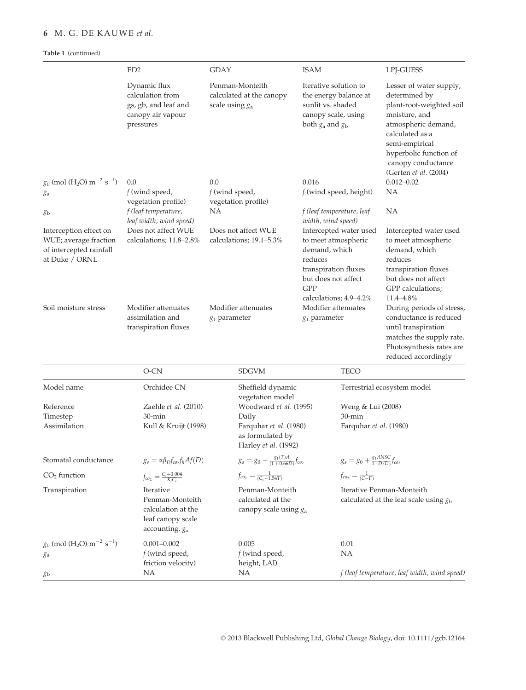# 6 M. G. DE KAUWE et al.

# Table 1 (continued)

|                                                                                              | ED <sub>2</sub>                                                                              | <b>GDAY</b>                                                                                                                                                                            | <b>ISAM</b>                                      |                                                                                                                        | LPJ-GUESS                                                                                                                                                                                                                  |  |
|----------------------------------------------------------------------------------------------|----------------------------------------------------------------------------------------------|----------------------------------------------------------------------------------------------------------------------------------------------------------------------------------------|--------------------------------------------------|------------------------------------------------------------------------------------------------------------------------|----------------------------------------------------------------------------------------------------------------------------------------------------------------------------------------------------------------------------|--|
|                                                                                              | Dynamic flux<br>calculation from<br>gs, gb, and leaf and<br>canopy air vapour<br>pressures   | Penman-Monteith<br>Iterative solution to<br>calculated at the canopy<br>the energy balance at<br>sunlit vs. shaded<br>scale using $g_a$<br>canopy scale, using<br>both $g_a$ and $g_b$ |                                                  |                                                                                                                        | Lesser of water supply,<br>determined by<br>plant-root-weighted soil<br>moisture, and<br>atmospheric demand,<br>calculated as a<br>semi-empirical<br>hyperbolic function of<br>canopy conductance<br>(Gerten et al. (2004) |  |
| $g_0$ (mol (H <sub>2</sub> O) m <sup>-2</sup> s <sup>-1</sup> )                              | 0.0                                                                                          | 0.0                                                                                                                                                                                    | 0.016                                            |                                                                                                                        | $0.012 - 0.02$                                                                                                                                                                                                             |  |
| $g_{a}$                                                                                      | $f$ (wind speed,<br>vegetation profile)                                                      | $f$ (wind speed,<br>vegetation profile)                                                                                                                                                |                                                  | $f$ (wind speed, height)                                                                                               | NA                                                                                                                                                                                                                         |  |
| gь                                                                                           | f (leaf temperature,<br>leaf width, wind speed)                                              | ΝA                                                                                                                                                                                     |                                                  | f (leaf temperature, leaf<br>width, wind speed)                                                                        | ΝA                                                                                                                                                                                                                         |  |
| Interception effect on<br>WUE; average fraction<br>of intercepted rainfall<br>at Duke / ORNL | Does not affect WUE<br>calculations; 11.8–2.8%                                               | Does not affect WUE<br>calculations; 19.1–5.3%                                                                                                                                         | demand, which<br>reduces<br><b>GPP</b>           | Intercepted water used<br>to meet atmospheric<br>transpiration fluxes<br>but does not affect<br>calculations; 4.9–4.2% | Intercepted water used<br>to meet atmospheric<br>demand, which<br>reduces<br>transpiration fluxes<br>but does not affect<br>GPP calculations;<br>11.4–4.8%                                                                 |  |
| Soil moisture stress                                                                         | Modifier attenuates<br>assimilation and<br>transpiration fluxes                              | Modifier attenuates<br>$g_1$ parameter                                                                                                                                                 | $g_1$ parameter                                  | Modifier attenuates                                                                                                    | During periods of stress,<br>conductance is reduced<br>until transpiration<br>matches the supply rate.<br>Photosynthesis rates are<br>reduced accordingly                                                                  |  |
|                                                                                              | O-CN                                                                                         | <b>SDGVM</b>                                                                                                                                                                           |                                                  | <b>TECO</b>                                                                                                            |                                                                                                                                                                                                                            |  |
| Model name                                                                                   | Orchidee CN                                                                                  |                                                                                                                                                                                        | Sheffield dynamic<br>vegetation model            |                                                                                                                        | Terrestrial ecosystem model                                                                                                                                                                                                |  |
| Reference                                                                                    | Zaehle et al. (2010)                                                                         |                                                                                                                                                                                        | Woodward et al. (1995)                           | Weng & Lui (2008)                                                                                                      |                                                                                                                                                                                                                            |  |
| Timestep<br>Assimilation                                                                     | $30$ -min<br>Kull & Kruijt (1998)                                                            | Daily<br>Farquhar et al. (1980)<br>as formulated by<br>Harley et al. (1992)                                                                                                            |                                                  | $30$ -min                                                                                                              | Farquhar et al. (1980)                                                                                                                                                                                                     |  |
| Stomatal conductance                                                                         | $g_s = \alpha \beta_D f_{co_2} f_h A f(D)$                                                   |                                                                                                                                                                                        | $g_s = g_0 + \frac{g_1(T)A}{(1+0.66D)} f_{co_2}$ | $g_s = g_0 + \frac{g_1 ANSC}{1 + D/D_0} f_{co_2}$                                                                      |                                                                                                                                                                                                                            |  |
| $CO2$ function                                                                               | $f_{co_2} = \frac{C_i + 0.004}{K_i C_i}$                                                     | $f_{co_2} = \frac{1}{(C_s - 1.54T)}$                                                                                                                                                   |                                                  | $f_{co_2} = \frac{1}{(C-\Gamma)}$                                                                                      |                                                                                                                                                                                                                            |  |
| Transpiration                                                                                | Iterative<br>Penman-Monteith<br>calculation at the<br>leaf canopy scale<br>accounting, $g_a$ | calculated at the                                                                                                                                                                      | Penman-Monteith<br>canopy scale using $g_a$      |                                                                                                                        | Iterative Penman-Monteith<br>calculated at the leaf scale using $gb$                                                                                                                                                       |  |
| $g_0$ (mol (H <sub>2</sub> O) m <sup>-2</sup> s <sup>-1</sup> )<br>ga                        | $0.001 - 0.002$<br>$f$ (wind speed,<br>friction velocity)<br>NА                              | 0.005<br>f (wind speed,<br>height, LAI)<br>NA                                                                                                                                          |                                                  | 0.01<br>ΝA                                                                                                             | f (leaf temperature, leaf width, wind speed)                                                                                                                                                                               |  |
| gь                                                                                           |                                                                                              |                                                                                                                                                                                        |                                                  |                                                                                                                        |                                                                                                                                                                                                                            |  |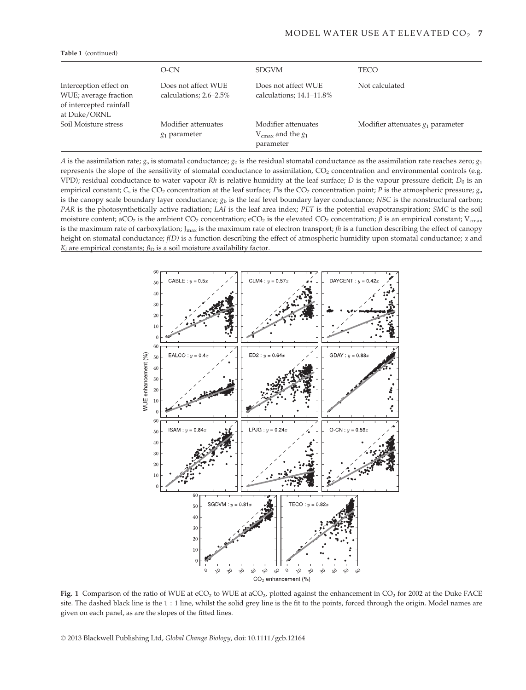|                                                                                            | O-CN                                          | <b>SDGVM</b>                                                        | TECO                                |
|--------------------------------------------------------------------------------------------|-----------------------------------------------|---------------------------------------------------------------------|-------------------------------------|
| Interception effect on<br>WUE; average fraction<br>of intercepted rainfall<br>at Duke/ORNL | Does not affect WUE<br>calculations; 2.6–2.5% | Does not affect WUE<br>calculations; $14.1 - 11.8\%$                | Not calculated                      |
| Soil Moisture stress                                                                       | Modifier attenuates<br>$g_1$ parameter        | Modifier attenuates<br>$V_{\text{cmax}}$ and the $g_1$<br>parameter | Modifier attenuates $g_1$ parameter |

Table 1 (continued)

A is the assimilation rate;  $g_s$  is stomatal conductance;  $g_0$  is the residual stomatal conductance as the assimilation rate reaches zero;  $g_1$ represents the slope of the sensitivity of stomatal conductance to assimilation, CO<sub>2</sub> concentration and environmental controls (e.g. VPD); residual conductance to water vapour Rh is relative humidity at the leaf surface; D is the vapour pressure deficit;  $D_0$  is an empirical constant;  $C_s$  is the CO<sub>2</sub> concentration at the leaf surface; *Γ*is the CO<sub>2</sub> concentration point; *P* is the atmospheric pressure;  $g_a$ is the canopy scale boundary layer conductance;  $g<sub>b</sub>$  is the leaf level boundary layer conductance; NSC is the nonstructural carbon; PAR is the photosynthetically active radiation; LAI is the leaf area index; PET is the potential evapotranspiration; SMC is the soil moisture content; aCO<sub>2</sub> is the ambient CO<sub>2</sub> concentration; eCO<sub>2</sub> is the elevated CO<sub>2</sub> concentration;  $\beta$  is an empirical constant; V<sub>cmax</sub> is the maximum rate of carboxylation;  $J_{\text{max}}$  is the maximum rate of electron transport;  $fh$  is a function describing the effect of canopy height on stomatal conductance;  $f(D)$  is a function describing the effect of atmospheric humidity upon stomatal conductance;  $\alpha$  and  $K_i$  are empirical constants;  $\beta_D$  is a soil moisture availability factor.



Fig. 1 Comparison of the ratio of WUE at  $eCO<sub>2</sub>$  to WUE at aCO<sub>2</sub>, plotted against the enhancement in CO<sub>2</sub> for 2002 at the Duke FACE site. The dashed black line is the 1 : 1 line, whilst the solid grey line is the fit to the points, forced through the origin. Model names are given on each panel, as are the slopes of the fitted lines.

© 2013 Blackwell Publishing Ltd, Global Change Biology, doi: 10.1111/gcb.12164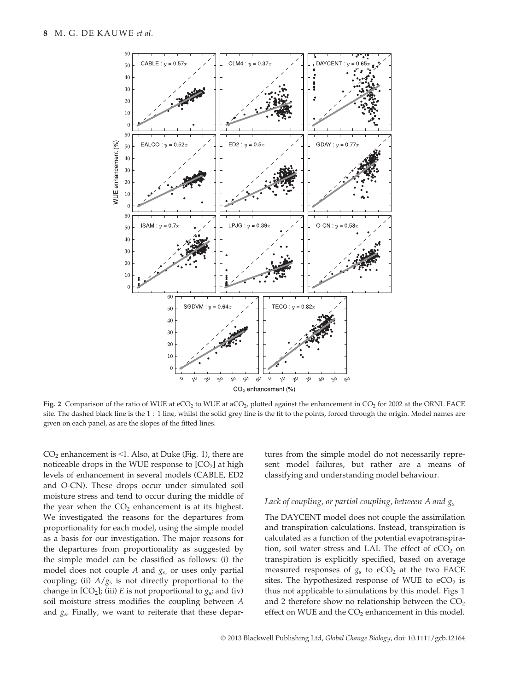

Fig. 2 Comparison of the ratio of WUE at eCO<sub>2</sub> to WUE at aCO<sub>2</sub>, plotted against the enhancement in CO<sub>2</sub> for 2002 at the ORNL FACE site. The dashed black line is the 1 : 1 line, whilst the solid grey line is the fit to the points, forced through the origin. Model names are given on each panel, as are the slopes of the fitted lines.

 $CO<sub>2</sub>$  enhancement is <1. Also, at Duke (Fig. 1), there are noticeable drops in the WUE response to  $[CO<sub>2</sub>]$  at high levels of enhancement in several models (CABLE, ED2 and O-CN). These drops occur under simulated soil moisture stress and tend to occur during the middle of the year when the  $CO<sub>2</sub>$  enhancement is at its highest. We investigated the reasons for the departures from proportionality for each model, using the simple model as a basis for our investigation. The major reasons for the departures from proportionality as suggested by the simple model can be classified as follows: (i) the model does not couple  $A$  and  $g_s$ , or uses only partial coupling; (ii)  $A/g<sub>s</sub>$  is not directly proportional to the change in  $[CO_2]$ ; (iii) E is not proportional to  $g_s$ ; and (iv) soil moisture stress modifies the coupling between A and  $g_s$ . Finally, we want to reiterate that these departures from the simple model do not necessarily represent model failures, but rather are a means of classifying and understanding model behaviour.

# Lack of coupling, or partial coupling, between A and  $g_s$

The DAYCENT model does not couple the assimilation and transpiration calculations. Instead, transpiration is calculated as a function of the potential evapotranspiration, soil water stress and LAI. The effect of  $eCO<sub>2</sub>$  on transpiration is explicitly specified, based on average measured responses of  $g_s$  to eCO<sub>2</sub> at the two FACE sites. The hypothesized response of WUE to  $eCO<sub>2</sub>$  is thus not applicable to simulations by this model. Figs 1 and 2 therefore show no relationship between the  $CO<sub>2</sub>$ effect on WUE and the  $CO<sub>2</sub>$  enhancement in this model.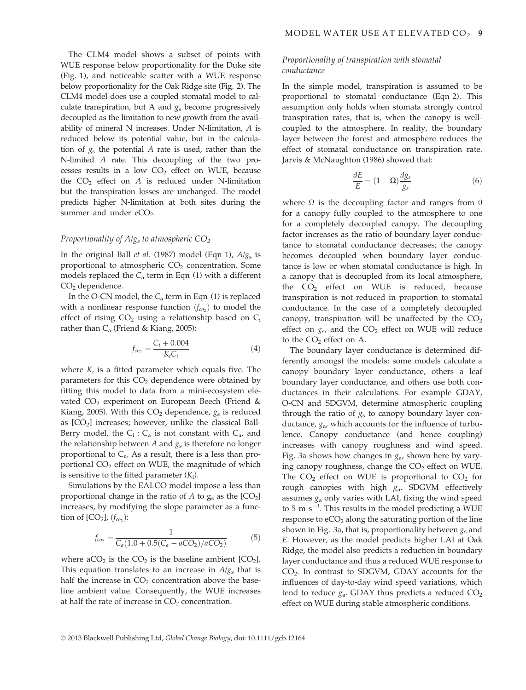The CLM4 model shows a subset of points with WUE response below proportionality for the Duke site (Fig. 1), and noticeable scatter with a WUE response below proportionality for the Oak Ridge site (Fig. 2). The CLM4 model does use a coupled stomatal model to calculate transpiration, but A and  $g_s$  become progressively decoupled as the limitation to new growth from the availability of mineral N increases. Under N-limitation, A is reduced below its potential value, but in the calculation of  $g_s$  the potential A rate is used, rather than the N-limited A rate. This decoupling of the two processes results in a low  $CO<sub>2</sub>$  effect on WUE, because the  $CO<sub>2</sub>$  effect on A is reduced under N-limitation but the transpiration losses are unchanged. The model predicts higher N-limitation at both sites during the summer and under  $eCO<sub>2</sub>$ .

## Proportionality of  $A/g_s$  to atmospheric  $CO_2$

In the original Ball *et al.* (1987) model (Eqn 1),  $A/g_s$  is proportional to atmospheric  $CO<sub>2</sub>$  concentration. Some models replaced the  $C_a$  term in Eqn (1) with a different CO<sub>2</sub> dependence.

In the O-CN model, the  $C_a$  term in Eqn (1) is replaced with a nonlinear response function  $(f_{co_2})$  to model the effect of rising  $CO<sub>2</sub>$  using a relationship based on  $C<sub>i</sub>$ rather than  $C_a$  (Friend & Kiang, 2005):

$$
f_{co_2} = \frac{C_i + 0.004}{K_i C_i} \tag{4}
$$

where  $K_i$  is a fitted parameter which equals five. The parameters for this  $CO<sub>2</sub>$  dependence were obtained by fitting this model to data from a mini-ecosystem elevated  $CO<sub>2</sub>$  experiment on European Beech (Friend & Kiang, 2005). With this  $CO<sub>2</sub>$  dependence,  $g<sub>s</sub>$  is reduced as  $[CO<sub>2</sub>]$  increases; however, unlike the classical Ball-Berry model, the  $C_i$ :  $C_a$  is not constant with  $C_a$ , and the relationship between A and  $g_s$  is therefore no longer proportional to  $C_a$ . As a result, there is a less than proportional  $CO<sub>2</sub>$  effect on WUE, the magnitude of which is sensitive to the fitted parameter  $(K_i)$ .

Simulations by the EALCO model impose a less than proportional change in the ratio of A to  $g_s$  as the  $[CO_2]$ increases, by modifying the slope parameter as a function of  $[CO_2]$ ,  $(f_{co}$ ):

$$
f_{co_2} = \frac{1}{C_a(1.0 + 0.5(C_a - aCO_2)/aCO_2)}
$$
(5)

where  $aCO_2$  is the  $CO_2$  is the baseline ambient  $[CO_2]$ . This equation translates to an increase in  $A/g_s$  that is half the increase in  $CO<sub>2</sub>$  concentration above the baseline ambient value. Consequently, the WUE increases at half the rate of increase in  $CO<sub>2</sub>$  concentration.

# Proportionality of transpiration with stomatal conductance

In the simple model, transpiration is assumed to be proportional to stomatal conductance (Eqn 2). This assumption only holds when stomata strongly control transpiration rates, that is, when the canopy is wellcoupled to the atmosphere. In reality, the boundary layer between the forest and atmosphere reduces the effect of stomatal conductance on transpiration rate. Jarvis & McNaughton (1986) showed that:

$$
\frac{dE}{E} = (1 - \Omega) \frac{dg_s}{g_s} \tag{6}
$$

where  $\Omega$  is the decoupling factor and ranges from 0 for a canopy fully coupled to the atmosphere to one for a completely decoupled canopy. The decoupling factor increases as the ratio of boundary layer conductance to stomatal conductance decreases; the canopy becomes decoupled when boundary layer conductance is low or when stomatal conductance is high. In a canopy that is decoupled from its local atmosphere, the  $CO<sub>2</sub>$  effect on WUE is reduced, because transpiration is not reduced in proportion to stomatal conductance. In the case of a completely decoupled canopy, transpiration will be unaffected by the  $CO<sub>2</sub>$ effect on  $g_s$ , and the  $CO_2$  effect on WUE will reduce to the  $CO<sub>2</sub>$  effect on A.

The boundary layer conductance is determined differently amongst the models: some models calculate a canopy boundary layer conductance, others a leaf boundary layer conductance, and others use both conductances in their calculations. For example GDAY, O-CN and SDGVM, determine atmospheric coupling through the ratio of  $g_s$  to canopy boundary layer conductance,  $g_{\alpha}$ , which accounts for the influence of turbulence. Canopy conductance (and hence coupling) increases with canopy roughness and wind speed. Fig. 3a shows how changes in  $g_{\alpha}$ , shown here by varying canopy roughness, change the  $CO<sub>2</sub>$  effect on WUE. The  $CO<sub>2</sub>$  effect on WUE is proportional to  $CO<sub>2</sub>$  for rough canopies with high  $g_a$ . SDGVM effectively assumes  $g_a$  only varies with LAI, fixing the wind speed to 5 m  $s^{-1}$ . This results in the model predicting a WUE response to  $eCO<sub>2</sub>$  along the saturating portion of the line shown in Fig. 3a, that is, proportionality between  $g_s$  and E. However, as the model predicts higher LAI at Oak Ridge, the model also predicts a reduction in boundary layer conductance and thus a reduced WUE response to CO2. In contrast to SDGVM, GDAY accounts for the influences of day-to-day wind speed variations, which tend to reduce  $g_a$ . GDAY thus predicts a reduced  $CO_2$ effect on WUE during stable atmospheric conditions.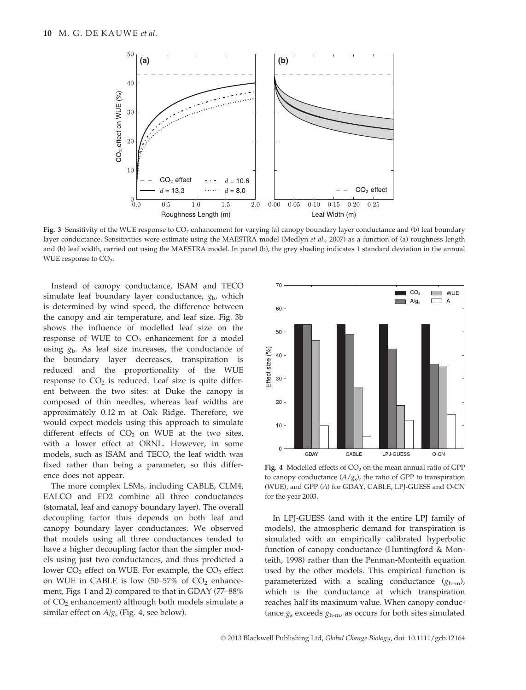

Fig. 3 Sensitivity of the WUE response to  $CO<sub>2</sub>$  enhancement for varying (a) canopy boundary layer conductance and (b) leaf boundary layer conductance. Sensitivities were estimate using the MAESTRA model (Medlyn et al., 2007) as a function of (a) roughness length and (b) leaf width, carried out using the MAESTRA model. In panel (b), the grey shading indicates 1 standard deviation in the annual WUE response to  $CO<sub>2</sub>$ .

Instead of canopy conductance, ISAM and TECO simulate leaf boundary layer conductance,  $g_{\rm b}$ , which is determined by wind speed, the difference between the canopy and air temperature, and leaf size. Fig. 3b shows the influence of modelled leaf size on the response of WUE to  $CO<sub>2</sub>$  enhancement for a model using  $g<sub>b</sub>$ . As leaf size increases, the conductance of the boundary layer decreases, transpiration is reduced and the proportionality of the WUE response to  $CO<sub>2</sub>$  is reduced. Leaf size is quite different between the two sites: at Duke the canopy is composed of thin needles, whereas leaf widths are approximately 0.12 m at Oak Ridge. Therefore, we would expect models using this approach to simulate different effects of  $CO<sub>2</sub>$  on WUE at the two sites, with a lower effect at ORNL. However, in some models, such as ISAM and TECO, the leaf width was fixed rather than being a parameter, so this difference does not appear.

The more complex LSMs, including CABLE, CLM4, EALCO and ED2 combine all three conductances (stomatal, leaf and canopy boundary layer). The overall decoupling factor thus depends on both leaf and canopy boundary layer conductances. We observed that models using all three conductances tended to have a higher decoupling factor than the simpler models using just two conductances, and thus predicted a lower  $CO<sub>2</sub>$  effect on WUE. For example, the  $CO<sub>2</sub>$  effect on WUE in CABLE is low  $(50-57\% \text{ of } CO<sub>2</sub>)$  enhancement, Figs 1 and 2) compared to that in GDAY (77–88% of  $CO<sub>2</sub>$  enhancement) although both models simulate a similar effect on  $A/g_s$  (Fig. 4, see below).



Fig. 4 Modelled effects of CO<sub>2</sub> on the mean annual ratio of GPP to canopy conductance  $(A/g_s)$ , the ratio of GPP to transpiration (WUE), and GPP (A) for GDAY, CABLE, LPJ-GUESS and O-CN for the year 2003.

In LPJ-GUESS (and with it the entire LPJ family of models), the atmospheric demand for transpiration is simulated with an empirically calibrated hyperbolic function of canopy conductance (Huntingford & Monteith, 1998) rather than the Penman-Monteith equation used by the other models. This empirical function is parameterized with a scaling conductance  $(g_{h-m})$ , which is the conductance at which transpiration reaches half its maximum value. When canopy conductance  $g_s$  exceeds  $g_{h-m}$ , as occurs for both sites simulated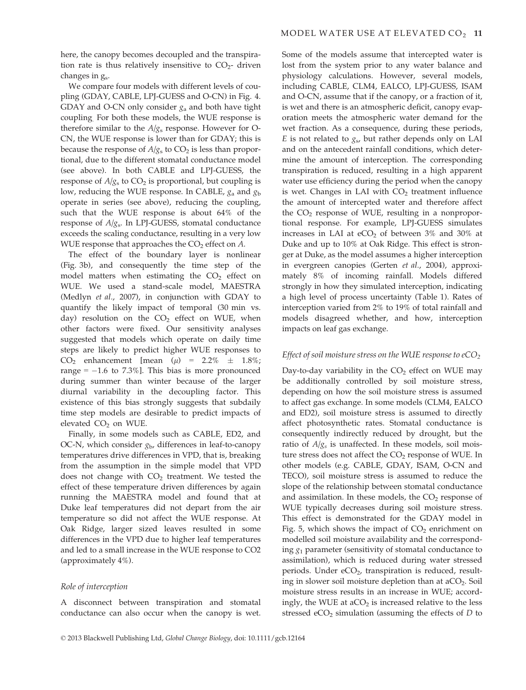here, the canopy becomes decoupled and the transpiration rate is thus relatively insensitive to  $CO<sub>2</sub>$ - driven changes in  $g_s$ .

We compare four models with different levels of coupling (GDAY, CABLE, LPJ-GUESS and O-CN) in Fig. 4. GDAY and O-CN only consider  $g_a$  and both have tight coupling. For both these models, the WUE response is therefore similar to the  $A/g_s$  response. However for O-CN, the WUE response is lower than for GDAY; this is because the response of  $A/g<sub>s</sub>$  to  $CO<sub>2</sub>$  is less than proportional, due to the different stomatal conductance model (see above). In both CABLE and LPJ-GUESS, the response of  $A/g_s$  to  $CO_2$  is proportional, but coupling is low, reducing the WUE response. In CABLE,  $g_a$  and  $g_b$ operate in series (see above), reducing the coupling, such that the WUE response is about 64% of the response of  $A/g_s$ . In LPJ-GUESS, stomatal conductance exceeds the scaling conductance, resulting in a very low WUE response that approaches the  $CO<sub>2</sub>$  effect on  $A$ .

The effect of the boundary layer is nonlinear (Fig. 3b), and consequently the time step of the model matters when estimating the  $CO<sub>2</sub>$  effect on WUE. We used a stand-scale model, MAESTRA (Medlyn et al., 2007), in conjunction with GDAY to quantify the likely impact of temporal (30 min vs. day) resolution on the  $CO<sub>2</sub>$  effect on WUE, when other factors were fixed. Our sensitivity analyses suggested that models which operate on daily time steps are likely to predict higher WUE responses to  $CO<sub>2</sub>$  enhancement [mean ( $\mu$ ) = 2.2%  $\pm$  1.8%; range =  $-1.6$  to 7.3%]. This bias is more pronounced during summer than winter because of the larger diurnal variability in the decoupling factor. This existence of this bias strongly suggests that subdaily time step models are desirable to predict impacts of elevated CO<sub>2</sub> on WUE.

Finally, in some models such as CABLE, ED2, and OC-N, which consider  $g<sub>b</sub>$ , differences in leaf-to-canopy temperatures drive differences in VPD, that is, breaking from the assumption in the simple model that VPD does not change with  $CO<sub>2</sub>$  treatment. We tested the effect of these temperature driven differences by again running the MAESTRA model and found that at Duke leaf temperatures did not depart from the air temperature so did not affect the WUE response. At Oak Ridge, larger sized leaves resulted in some differences in the VPD due to higher leaf temperatures and led to a small increase in the WUE response to CO2 (approximately 4%).

#### Role of interception

A disconnect between transpiration and stomatal conductance can also occur when the canopy is wet. Some of the models assume that intercepted water is lost from the system prior to any water balance and physiology calculations. However, several models, including CABLE, CLM4, EALCO, LPJ-GUESS, ISAM and O-CN, assume that if the canopy, or a fraction of it, is wet and there is an atmospheric deficit, canopy evaporation meets the atmospheric water demand for the wet fraction. As a consequence, during these periods, E is not related to  $g_s$ , but rather depends only on LAI and on the antecedent rainfall conditions, which determine the amount of interception. The corresponding transpiration is reduced, resulting in a high apparent water use efficiency during the period when the canopy is wet. Changes in LAI with  $CO<sub>2</sub>$  treatment influence the amount of intercepted water and therefore affect the  $CO<sub>2</sub>$  response of WUE, resulting in a nonproportional response. For example, LPJ-GUESS simulates increases in LAI at  $eCO<sub>2</sub>$  of between 3% and 30% at Duke and up to 10% at Oak Ridge. This effect is stronger at Duke, as the model assumes a higher interception in evergreen canopies (Gerten et al., 2004), approximately 8% of incoming rainfall. Models differed strongly in how they simulated interception, indicating a high level of process uncertainty (Table 1). Rates of interception varied from 2% to 19% of total rainfall and models disagreed whether, and how, interception impacts on leaf gas exchange.

# Effect of soil moisture stress on the WUE response to  $eCO<sub>2</sub>$

Day-to-day variability in the  $CO<sub>2</sub>$  effect on WUE may be additionally controlled by soil moisture stress, depending on how the soil moisture stress is assumed to affect gas exchange. In some models (CLM4, EALCO and ED2), soil moisture stress is assumed to directly affect photosynthetic rates. Stomatal conductance is consequently indirectly reduced by drought, but the ratio of  $A/g<sub>s</sub>$  is unaffected. In these models, soil moisture stress does not affect the  $CO<sub>2</sub>$  response of WUE. In other models (e.g. CABLE, GDAY, ISAM, O-CN and TECO), soil moisture stress is assumed to reduce the slope of the relationship between stomatal conductance and assimilation. In these models, the  $CO<sub>2</sub>$  response of WUE typically decreases during soil moisture stress. This effect is demonstrated for the GDAY model in Fig. 5, which shows the impact of  $CO<sub>2</sub>$  enrichment on modelled soil moisture availability and the corresponding  $g_1$  parameter (sensitivity of stomatal conductance to assimilation), which is reduced during water stressed periods. Under  $eCO<sub>2</sub>$ , transpiration is reduced, resulting in slower soil moisture depletion than at  $aCO<sub>2</sub>$ . Soil moisture stress results in an increase in WUE; accordingly, the WUE at  $aCO<sub>2</sub>$  is increased relative to the less stressed  $eCO<sub>2</sub>$  simulation (assuming the effects of  $D$  to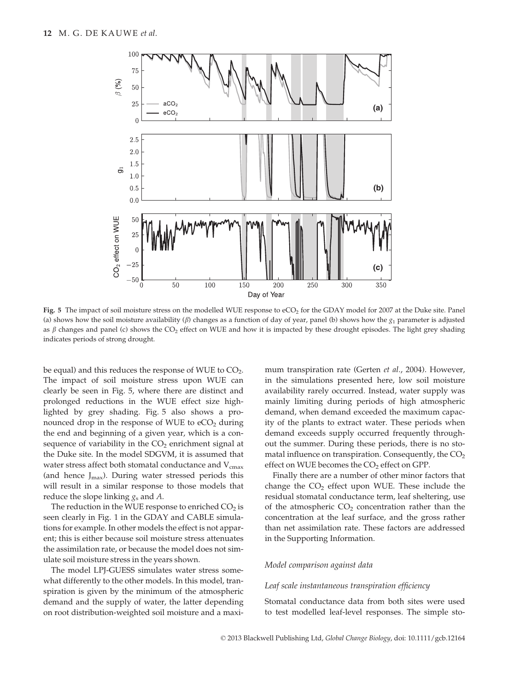

Fig. 5 The impact of soil moisture stress on the modelled WUE response to eCO<sub>2</sub> for the GDAY model for 2007 at the Duke site. Panel (a) shows how the soil moisture availability ( $\beta$ ) changes as a function of day of year, panel (b) shows how the  $g_1$  parameter is adjusted as  $\beta$  changes and panel (c) shows the CO<sub>2</sub> effect on WUE and how it is impacted by these drought episodes. The light grey shading indicates periods of strong drought.

be equal) and this reduces the response of WUE to  $CO<sub>2</sub>$ . The impact of soil moisture stress upon WUE can clearly be seen in Fig. 5, where there are distinct and prolonged reductions in the WUE effect size highlighted by grey shading. Fig. 5 also shows a pronounced drop in the response of WUE to  $eCO<sub>2</sub>$  during the end and beginning of a given year, which is a consequence of variability in the  $CO<sub>2</sub>$  enrichment signal at the Duke site. In the model SDGVM, it is assumed that water stress affect both stomatal conductance and  $V_{\text{cmax}}$ (and hence  $J_{\text{max}}$ ). During water stressed periods this will result in a similar response to those models that reduce the slope linking  $g_s$  and A.

The reduction in the WUE response to enriched  $CO<sub>2</sub>$  is seen clearly in Fig. 1 in the GDAY and CABLE simulations for example. In other models the effect is not apparent; this is either because soil moisture stress attenuates the assimilation rate, or because the model does not simulate soil moisture stress in the years shown.

The model LPJ-GUESS simulates water stress somewhat differently to the other models. In this model, transpiration is given by the minimum of the atmospheric demand and the supply of water, the latter depending on root distribution-weighted soil moisture and a maximum transpiration rate (Gerten et al., 2004). However, in the simulations presented here, low soil moisture availability rarely occurred. Instead, water supply was mainly limiting during periods of high atmospheric demand, when demand exceeded the maximum capacity of the plants to extract water. These periods when demand exceeds supply occurred frequently throughout the summer. During these periods, there is no stomatal influence on transpiration. Consequently, the  $CO<sub>2</sub>$ effect on WUE becomes the  $CO<sub>2</sub>$  effect on GPP.

Finally there are a number of other minor factors that change the  $CO<sub>2</sub>$  effect upon WUE. These include the residual stomatal conductance term, leaf sheltering, use of the atmospheric  $CO<sub>2</sub>$  concentration rather than the concentration at the leaf surface, and the gross rather than net assimilation rate. These factors are addressed in the Supporting Information.

## Model comparison against data

#### Leaf scale instantaneous transpiration efficiency

Stomatal conductance data from both sites were used to test modelled leaf-level responses. The simple sto-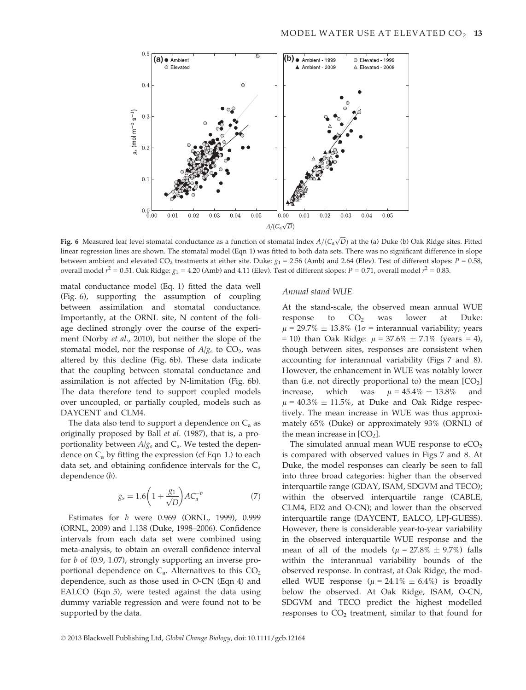

Fig. 6 Measured leaf level stomatal conductance as a function of stomatal index  $A/(C_a\sqrt{D})$  at the (a) Duke (b) Oak Ridge sites. Fitted linear regression lines are shown. The stomatal model (Eqn 1) was fitted to both data sets. There was no significant difference in slope between ambient and elevated CO<sub>2</sub> treatments at either site. Duke:  $g_1 = 2.56$  (Amb) and 2.64 (Elev). Test of different slopes:  $P = 0.58$ , overall model  $r^2 = 0.51$ . Oak Ridge:  $g_1 = 4.20$  (Amb) and 4.11 (Elev). Test of different slopes:  $P = 0.71$ , overall model  $r^2 = 0.83$ .

matal conductance model (Eq. 1) fitted the data well (Fig. 6), supporting the assumption of coupling between assimilation and stomatal conductance. Importantly, at the ORNL site, N content of the foliage declined strongly over the course of the experiment (Norby et al., 2010), but neither the slope of the stomatal model, nor the response of  $A/g<sub>s</sub>$  to CO<sub>2</sub>, was altered by this decline (Fig. 6b). These data indicate that the coupling between stomatal conductance and assimilation is not affected by N-limitation (Fig. 6b). The data therefore tend to support coupled models over uncoupled, or partially coupled, models such as DAYCENT and CLM4.

The data also tend to support a dependence on  $C_a$  as originally proposed by Ball et al. (1987), that is, a proportionality between  $A/g_s$  and  $C_a$ . We tested the dependence on  $C_a$  by fitting the expression (cf Eqn 1.) to each data set, and obtaining confidence intervals for the  $C_a$ dependence (b).

$$
g_s = 1.6\left(1 + \frac{g_1}{\sqrt{D}}\right)AC_a^{-b} \tag{7}
$$

Estimates for b were 0.969 (ORNL, 1999), 0.999 (ORNL, 2009) and 1.138 (Duke, 1998–2006). Confidence intervals from each data set were combined using meta-analysis, to obtain an overall confidence interval for b of (0.9, 1.07), strongly supporting an inverse proportional dependence on  $C_a$ . Alternatives to this  $CO_2$ dependence, such as those used in O-CN (Eqn 4) and EALCO (Eqn 5), were tested against the data using dummy variable regression and were found not to be supported by the data.

#### Annual stand WUE

At the stand-scale, the observed mean annual WUE response to  $CO<sub>2</sub>$  was lower at Duke:  $\mu$  = 29.7%  $\pm$  13.8% (1 $\sigma$  = interannual variability; years  $= 10$ ) than Oak Ridge:  $\mu = 37.6\% \pm 7.1\%$  (years  $= 4$ ), though between sites, responses are consistent when accounting for interannual variability (Figs 7 and 8). However, the enhancement in WUE was notably lower than (i.e. not directly proportional to) the mean  $[CO<sub>2</sub>]$ increase, which was  $\mu = 45.4\% \pm 13.8\%$  and  $\mu$  = 40.3%  $\pm$  11.5%, at Duke and Oak Ridge respectively. The mean increase in WUE was thus approximately 65% (Duke) or approximately 93% (ORNL) of the mean increase in  $[CO<sub>2</sub>]$ .

The simulated annual mean WUE response to  $eCO<sub>2</sub>$ is compared with observed values in Figs 7 and 8. At Duke, the model responses can clearly be seen to fall into three broad categories: higher than the observed interquartile range (GDAY, ISAM, SDGVM and TECO); within the observed interquartile range (CABLE, CLM4, ED2 and O-CN); and lower than the observed interquartile range (DAYCENT, EALCO, LPJ-GUESS). However, there is considerable year-to-year variability in the observed interquartile WUE response and the mean of all of the models ( $\mu = 27.8\% \pm 9.7\%$ ) falls within the interannual variability bounds of the observed response. In contrast, at Oak Ridge, the modelled WUE response ( $\mu = 24.1\% \pm 6.4\%$ ) is broadly below the observed. At Oak Ridge, ISAM, O-CN, SDGVM and TECO predict the highest modelled responses to  $CO<sub>2</sub>$  treatment, similar to that found for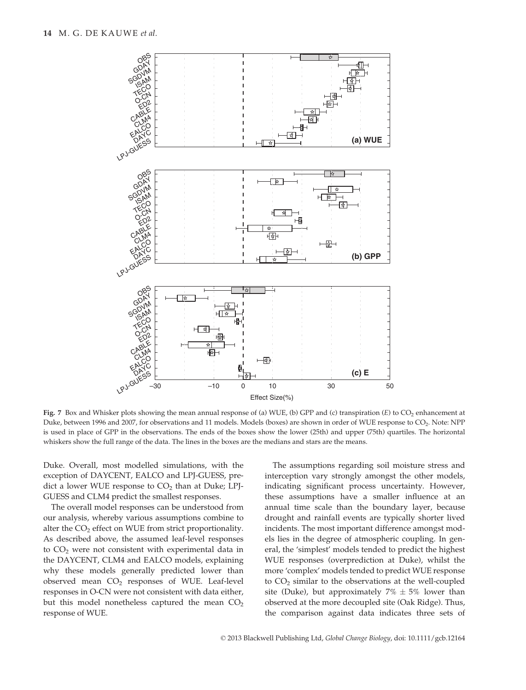

Fig. 7 Box and Whisker plots showing the mean annual response of (a) WUE, (b) GPP and (c) transpiration (E) to  $CO<sub>2</sub>$  enhancement at Duke, between 1996 and 2007, for observations and 11 models. Models (boxes) are shown in order of WUE response to CO<sub>2</sub>. Note: NPP is used in place of GPP in the observations. The ends of the boxes show the lower (25th) and upper (75th) quartiles. The horizontal whiskers show the full range of the data. The lines in the boxes are the medians and stars are the means.

Duke. Overall, most modelled simulations, with the exception of DAYCENT, EALCO and LPJ-GUESS, predict a lower WUE response to  $CO<sub>2</sub>$  than at Duke; LPJ-GUESS and CLM4 predict the smallest responses.

The overall model responses can be understood from our analysis, whereby various assumptions combine to alter the  $CO<sub>2</sub>$  effect on WUE from strict proportionality. As described above, the assumed leaf-level responses to  $CO<sub>2</sub>$  were not consistent with experimental data in the DAYCENT, CLM4 and EALCO models, explaining why these models generally predicted lower than observed mean  $CO<sub>2</sub>$  responses of WUE. Leaf-level responses in O-CN were not consistent with data either, but this model nonetheless captured the mean  $CO<sub>2</sub>$ response of WUE.

The assumptions regarding soil moisture stress and interception vary strongly amongst the other models, indicating significant process uncertainty. However, these assumptions have a smaller influence at an annual time scale than the boundary layer, because drought and rainfall events are typically shorter lived incidents. The most important difference amongst models lies in the degree of atmospheric coupling. In general, the 'simplest' models tended to predict the highest WUE responses (overprediction at Duke), whilst the more 'complex' models tended to predict WUE response to  $CO<sub>2</sub>$  similar to the observations at the well-coupled site (Duke), but approximately  $7\% \pm 5\%$  lower than observed at the more decoupled site (Oak Ridge). Thus, the comparison against data indicates three sets of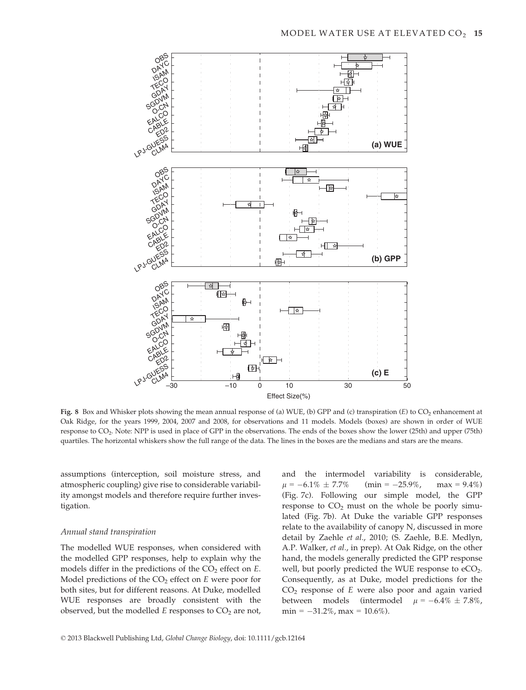

Fig. 8 Box and Whisker plots showing the mean annual response of (a) WUE, (b) GPP and (c) transpiration (E) to  $CO<sub>2</sub>$  enhancement at Oak Ridge, for the years 1999, 2004, 2007 and 2008, for observations and 11 models. Models (boxes) are shown in order of WUE response to CO2. Note: NPP is used in place of GPP in the observations. The ends of the boxes show the lower (25th) and upper (75th) quartiles. The horizontal whiskers show the full range of the data. The lines in the boxes are the medians and stars are the means.

assumptions (interception, soil moisture stress, and atmospheric coupling) give rise to considerable variability amongst models and therefore require further investigation.

#### Annual stand transpiration

The modelled WUE responses, when considered with the modelled GPP responses, help to explain why the models differ in the predictions of the  $CO<sub>2</sub>$  effect on  $E$ . Model predictions of the  $CO<sub>2</sub>$  effect on E were poor for both sites, but for different reasons. At Duke, modelled WUE responses are broadly consistent with the observed, but the modelled  $E$  responses to  $CO<sub>2</sub>$  are not, and the intermodel variability is considerable,  $\mu = -6.1\% \pm 7.7\%$  $\text{(min} = -25.9\%, \text{max} = 9.4\%)$ (Fig. 7c). Following our simple model, the GPP response to  $CO<sub>2</sub>$  must on the whole be poorly simulated (Fig. 7b). At Duke the variable GPP responses relate to the availability of canopy N, discussed in more detail by Zaehle et al., 2010; (S. Zaehle, B.E. Medlyn, A.P. Walker, et al., in prep). At Oak Ridge, on the other hand, the models generally predicted the GPP response well, but poorly predicted the WUE response to  $eCO<sub>2</sub>$ . Consequently, as at Duke, model predictions for the  $CO<sub>2</sub>$  response of E were also poor and again varied between models (intermodel  $\mu = -6.4\% \pm 7.8\%$ ,  $min = -31.2\%$ ,  $max = 10.6\%$ ).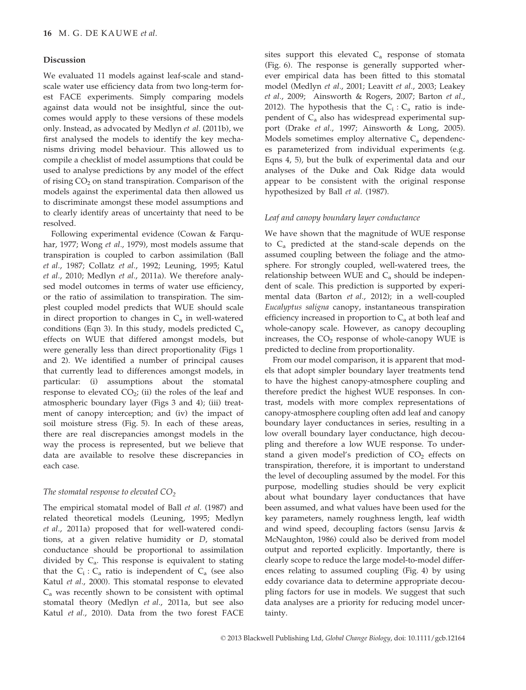#### Discussion

We evaluated 11 models against leaf-scale and standscale water use efficiency data from two long-term forest FACE experiments. Simply comparing models against data would not be insightful, since the outcomes would apply to these versions of these models only. Instead, as advocated by Medlyn et al. (2011b), we first analysed the models to identify the key mechanisms driving model behaviour. This allowed us to compile a checklist of model assumptions that could be used to analyse predictions by any model of the effect of rising  $CO<sub>2</sub>$  on stand transpiration. Comparison of the models against the experimental data then allowed us to discriminate amongst these model assumptions and to clearly identify areas of uncertainty that need to be resolved.

Following experimental evidence (Cowan & Farquhar, 1977; Wong et al., 1979), most models assume that transpiration is coupled to carbon assimilation (Ball et al., 1987; Collatz et al., 1992; Leuning, 1995; Katul et al., 2010; Medlyn et al., 2011a). We therefore analysed model outcomes in terms of water use efficiency, or the ratio of assimilation to transpiration. The simplest coupled model predicts that WUE should scale in direct proportion to changes in  $C_a$  in well-watered conditions (Eqn 3). In this study, models predicted  $C_a$ effects on WUE that differed amongst models, but were generally less than direct proportionality (Figs 1 and 2). We identified a number of principal causes that currently lead to differences amongst models, in particular: (i) assumptions about the stomatal response to elevated  $CO<sub>2</sub>$ ; (ii) the roles of the leaf and atmospheric boundary layer (Figs 3 and 4); (iii) treatment of canopy interception; and (iv) the impact of soil moisture stress (Fig. 5). In each of these areas, there are real discrepancies amongst models in the way the process is represented, but we believe that data are available to resolve these discrepancies in each case.

# The stomatal response to elevated  $CO<sub>2</sub>$

The empirical stomatal model of Ball et al. (1987) and related theoretical models (Leuning, 1995; Medlyn et al., 2011a) proposed that for well-watered conditions, at a given relative humidity or D, stomatal conductance should be proportional to assimilation divided by  $C_a$ . This response is equivalent to stating that the  $C_i$ :  $C_a$  ratio is independent of  $C_a$  (see also Katul et al., 2000). This stomatal response to elevated Ca was recently shown to be consistent with optimal stomatal theory (Medlyn et al., 2011a, but see also Katul et al., 2010). Data from the two forest FACE sites support this elevated  $C_a$  response of stomata (Fig. 6). The response is generally supported wherever empirical data has been fitted to this stomatal model (Medlyn et al., 2001; Leavitt et al., 2003; Leakey et al., 2009; Ainsworth & Rogers, 2007; Barton et al., 2012). The hypothesis that the  $C_i$ :  $C_a$  ratio is independent of  $C_a$  also has widespread experimental support (Drake et al., 1997; Ainsworth & Long, 2005). Models sometimes employ alternative  $C_a$  dependences parameterized from individual experiments (e.g. Eqns 4, 5), but the bulk of experimental data and our analyses of the Duke and Oak Ridge data would appear to be consistent with the original response hypothesized by Ball et al. (1987).

#### Leaf and canopy boundary layer conductance

We have shown that the magnitude of WUE response to Ca predicted at the stand-scale depends on the assumed coupling between the foliage and the atmosphere. For strongly coupled, well-watered trees, the relationship between WUE and  $C_a$  should be independent of scale. This prediction is supported by experimental data (Barton et al., 2012); in a well-coupled Eucalyptus saligna canopy, instantaneous transpiration efficiency increased in proportion to  $C<sub>a</sub>$  at both leaf and whole-canopy scale. However, as canopy decoupling increases, the  $CO<sub>2</sub>$  response of whole-canopy WUE is predicted to decline from proportionality.

From our model comparison, it is apparent that models that adopt simpler boundary layer treatments tend to have the highest canopy-atmosphere coupling and therefore predict the highest WUE responses. In contrast, models with more complex representations of canopy-atmosphere coupling often add leaf and canopy boundary layer conductances in series, resulting in a low overall boundary layer conductance, high decoupling and therefore a low WUE response. To understand a given model's prediction of  $CO<sub>2</sub>$  effects on transpiration, therefore, it is important to understand the level of decoupling assumed by the model. For this purpose, modelling studies should be very explicit about what boundary layer conductances that have been assumed, and what values have been used for the key parameters, namely roughness length, leaf width and wind speed, decoupling factors (sensu Jarvis & McNaughton, 1986) could also be derived from model output and reported explicitly. Importantly, there is clearly scope to reduce the large model-to-model differences relating to assumed coupling (Fig. 4) by using eddy covariance data to determine appropriate decoupling factors for use in models. We suggest that such data analyses are a priority for reducing model uncertainty.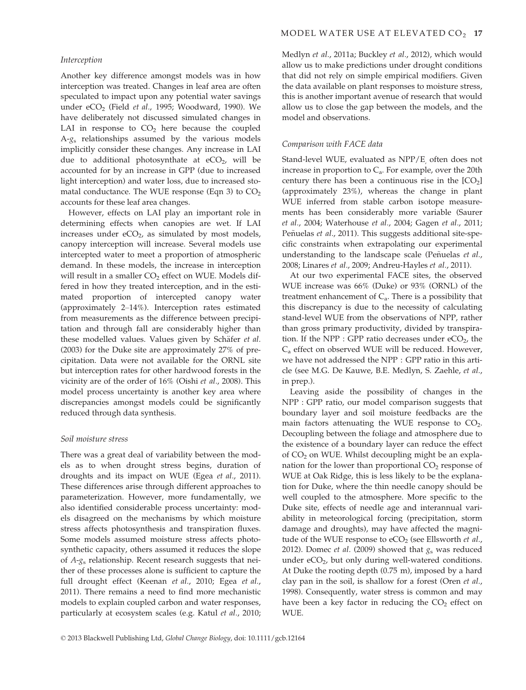## Interception

Another key difference amongst models was in how interception was treated. Changes in leaf area are often speculated to impact upon any potential water savings under  $eCO<sub>2</sub>$  (Field *et al.*, 1995; Woodward, 1990). We have deliberately not discussed simulated changes in LAI in response to  $CO<sub>2</sub>$  here because the coupled  $A-g<sub>s</sub>$  relationships assumed by the various models implicitly consider these changes. Any increase in LAI due to additional photosynthate at  $eCO<sub>2</sub>$ , will be accounted for by an increase in GPP (due to increased light interception) and water loss, due to increased stomatal conductance. The WUE response (Eqn 3) to  $CO<sub>2</sub>$ accounts for these leaf area changes.

However, effects on LAI play an important role in determining effects when canopies are wet. If LAI increases under  $eCO<sub>2</sub>$ , as simulated by most models, canopy interception will increase. Several models use intercepted water to meet a proportion of atmospheric demand. In these models, the increase in interception will result in a smaller  $CO<sub>2</sub>$  effect on WUE. Models differed in how they treated interception, and in the estimated proportion of intercepted canopy water (approximately 2–14%). Interception rates estimated from measurements as the difference between precipitation and through fall are considerably higher than these modelled values. Values given by Schäfer et al. (2003) for the Duke site are approximately 27% of precipitation. Data were not available for the ORNL site but interception rates for other hardwood forests in the vicinity are of the order of 16% (Oishi et al., 2008). This model process uncertainty is another key area where discrepancies amongst models could be significantly reduced through data synthesis.

#### Soil moisture stress

There was a great deal of variability between the models as to when drought stress begins, duration of droughts and its impact on WUE (Egea et al., 2011). These differences arise through different approaches to parameterization. However, more fundamentally, we also identified considerable process uncertainty: models disagreed on the mechanisms by which moisture stress affects photosynthesis and transpiration fluxes. Some models assumed moisture stress affects photosynthetic capacity, others assumed it reduces the slope of  $A-g_s$  relationship. Recent research suggests that neither of these processes alone is sufficient to capture the full drought effect (Keenan et al., 2010; Egea et al., 2011). There remains a need to find more mechanistic models to explain coupled carbon and water responses, particularly at ecosystem scales (e.g. Katul et al., 2010; Medlyn et al., 2011a; Buckley et al., 2012), which would allow us to make predictions under drought conditions that did not rely on simple empirical modifiers. Given the data available on plant responses to moisture stress, this is another important avenue of research that would allow us to close the gap between the models, and the model and observations.

#### Comparison with FACE data

Stand-level WUE, evaluated as NPP/E often does not increase in proportion to  $C_a$ . For example, over the 20th century there has been a continuous rise in the  $[CO<sub>2</sub>]$ (approximately 23%), whereas the change in plant WUE inferred from stable carbon isotope measurements has been considerably more variable (Saurer et al., 2004; Waterhouse et al., 2004; Gagen et al., 2011; Peñuelas et al., 2011). This suggests additional site-specific constraints when extrapolating our experimental understanding to the landscape scale (Peñuelas et al., 2008; Linares et al., 2009; Andreu-Hayles et al., 2011).

At our two experimental FACE sites, the observed WUE increase was 66% (Duke) or 93% (ORNL) of the treatment enhancement of  $C_a$ . There is a possibility that this discrepancy is due to the necessity of calculating stand-level WUE from the observations of NPP, rather than gross primary productivity, divided by transpiration. If the NPP : GPP ratio decreases under  $eCO<sub>2</sub>$ , the Ca effect on observed WUE will be reduced. However, we have not addressed the NPP : GPP ratio in this article (see M.G. De Kauwe, B.E. Medlyn, S. Zaehle, et al., in prep.).

Leaving aside the possibility of changes in the NPP : GPP ratio, our model comparison suggests that boundary layer and soil moisture feedbacks are the main factors attenuating the WUE response to  $CO<sub>2</sub>$ . Decoupling between the foliage and atmosphere due to the existence of a boundary layer can reduce the effect of CO<sub>2</sub> on WUE. Whilst decoupling might be an explanation for the lower than proportional  $CO<sub>2</sub>$  response of WUE at Oak Ridge, this is less likely to be the explanation for Duke, where the thin needle canopy should be well coupled to the atmosphere. More specific to the Duke site, effects of needle age and interannual variability in meteorological forcing (precipitation, storm damage and droughts), may have affected the magnitude of the WUE response to  $eCO<sub>2</sub>$  (see Ellsworth et al., 2012). Domec et al. (2009) showed that  $g_s$  was reduced under  $eCO<sub>2</sub>$ , but only during well-watered conditions. At Duke the rooting depth (0.75 m), imposed by a hard clay pan in the soil, is shallow for a forest (Oren et al., 1998). Consequently, water stress is common and may have been a key factor in reducing the  $CO<sub>2</sub>$  effect on WUE.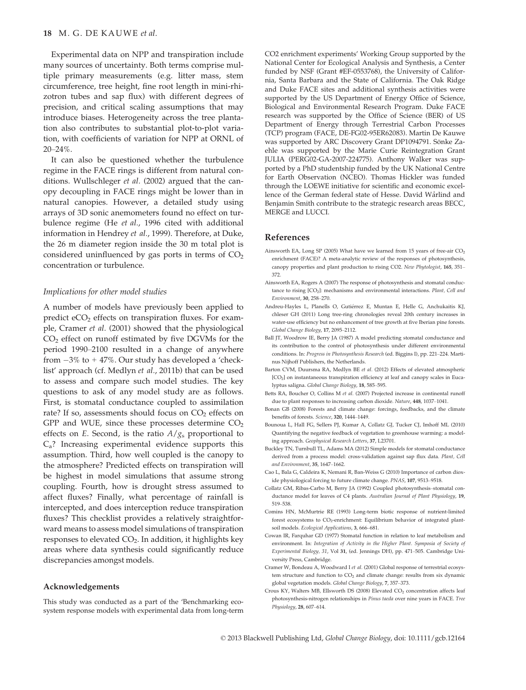Experimental data on NPP and transpiration include many sources of uncertainty. Both terms comprise multiple primary measurements (e.g. litter mass, stem circumference, tree height, fine root length in mini-rhizotron tubes and sap flux) with different degrees of precision, and critical scaling assumptions that may introduce biases. Heterogeneity across the tree plantation also contributes to substantial plot-to-plot variation, with coefficients of variation for NPP at ORNL of 20–24%.

It can also be questioned whether the turbulence regime in the FACE rings is different from natural conditions. Wullschleger et al. (2002) argued that the canopy decoupling in FACE rings might be lower than in natural canopies. However, a detailed study using arrays of 3D sonic anemometers found no effect on turbulence regime (He et al., 1996 cited with additional information in Hendrey et al., 1999). Therefore, at Duke, the 26 m diameter region inside the 30 m total plot is considered uninfluenced by gas ports in terms of  $CO<sub>2</sub>$ concentration or turbulence.

## Implications for other model studies

A number of models have previously been applied to predict eCO<sub>2</sub> effects on transpiration fluxes. For example, Cramer et al. (2001) showed that the physiological  $CO<sub>2</sub>$  effect on runoff estimated by five DGVMs for the period 1990–2100 resulted in a change of anywhere from  $-3\%$  to  $+47\%$ . Our study has developed a 'checklist' approach (cf. Medlyn et al., 2011b) that can be used to assess and compare such model studies. The key questions to ask of any model study are as follows. First, is stomatal conductance coupled to assimilation rate? If so, assessments should focus on  $CO<sub>2</sub>$  effects on GPP and WUE, since these processes determine  $CO<sub>2</sub>$ effects on E. Second, is the ratio  $A/g<sub>s</sub>$  proportional to Ca? Increasing experimental evidence supports this assumption. Third, how well coupled is the canopy to the atmosphere? Predicted effects on transpiration will be highest in model simulations that assume strong coupling. Fourth, how is drought stress assumed to affect fluxes? Finally, what percentage of rainfall is intercepted, and does interception reduce transpiration fluxes? This checklist provides a relatively straightforward means to assess model simulations of transpiration responses to elevated  $CO<sub>2</sub>$ . In addition, it highlights key areas where data synthesis could significantly reduce discrepancies amongst models.

#### Acknowledgements

This study was conducted as a part of the 'Benchmarking ecosystem response models with experimental data from long-term CO2 enrichment experiments' Working Group supported by the National Center for Ecological Analysis and Synthesis, a Center funded by NSF (Grant #EF-0553768), the University of California, Santa Barbara and the State of California. The Oak Ridge and Duke FACE sites and additional synthesis activities were supported by the US Department of Energy Office of Science, Biological and Environmental Research Program. Duke FACE research was supported by the Office of Science (BER) of US Department of Energy through Terrestrial Carbon Processes (TCP) program (FACE, DE-FG02-95ER62083). Martin De Kauwe was supported by ARC Discovery Grant DP1094791. Sönke Zaehle was supported by the Marie Curie Reintegration Grant JULIA (PERG02-GA-2007-224775). Anthony Walker was supported by a PhD studentship funded by the UK National Centre for Earth Observation (NCEO). Thomas Hickler was funded through the LOEWE initiative for scientific and economic excellence of the German federal state of Hesse. David Wårlind and Benjamin Smith contribute to the strategic research areas BECC, MERGE and LUCCI.

#### References

- Ainsworth EA, Long SP (2005) What have we learned from 15 years of free-air  $CO<sub>2</sub>$ enrichment (FACE)? A meta-analytic review of the responses of photosynthesis, canopy properties and plant production to rising CO2. New Phytologist, 165, 351– 372.
- Ainsworth EA, Rogers A (2007) The response of photosynthesis and stomatal conductance to rising [CO<sub>2</sub>]: mechanisms and environmental interactions. Plant, Cell and Environment, 30, 258–270.
- Andreu-Hayles L, Planells O, Gutiérrez E, Muntan E, Helle G, Anchukaitis KJ, chleser GH (2011) Long tree-ring chronologies reveal 20th century increases in water-use efficiency but no enhancement of tree growth at five Iberian pine forests. Global Change Biology, 17, 2095–2112.
- Ball JT, Woodrow IE, Berry JA (1987) A model predicting stomatal conductance and its contribution to the control of photosynthesis under different environmental conditions. In: Progress in Photosynthesis Research (ed. Biggins I), pp. 221–224. Martinus Nijhoff Publishers, the Netherlands.
- Barton CVM, Duursma RA, Medlyn BE et al. (2012) Effects of elevated atmospheric  $[CO<sub>2</sub>]$  on instantaneous transpiration efficiency at leaf and canopy scales in Eucalyptus saligna. Global Change Biology, 18, 585–595.
- Betts RA, Boucher O, Collins M et al. (2007) Projected increase in continental runoff due to plant responses to increasing carbon dioxide. Nature, 448, 1037–1041.
- Bonan GB (2008) Forests and climate change: forcings, feedbacks, and the climate benefits of forests. Science, 320, 1444–1449.
- Bounoua L, Hall FG, Sellers PJ, Kumar A, Collatz GJ, Tucker CJ, Imhoff ML (2010) Quantifying the negative feedback of vegetation to greenhouse warming: a modeling approach. Geophysical Research Letters, 37, L23701.
- Buckley TN, Turnbull TL, Adams MA (2012) Simple models for stomatal conductance derived from a process model: cross-validation against sap flux data. Plant, Cell and Environment, 35, 1647–1662.
- Cao L, Bala G, Caldeira K, Nemani R, Ban-Weiss G (2010) Importance of carbon dioxide physiological forcing to future climate change. PNAS, 107, 9513–9518.
- Collatz GM, Ribas-Carbo M, Berry JA (1992) Coupled photosynthesis–stomatal conductance model for leaves of C4 plants. Australian Journal of Plant Physiology, 19, 519–538.
- Comins HN, McMurtrie RE (1993) Long-term biotic response of nutrient-limited forest ecosystems to CO<sub>2</sub>-enrichment: Equilibrium behavior of integrated plantsoil models. Ecological Applications, 3, 666–681.
- Cowan IR, Farquhar GD (1977) Stomatal function in relation to leaf metabolism and environment. In: Integration of Activity in the Higher Plant. Symposia of Society of Experimental Biology, 31, Vol 31, (ed. Jennings DH), pp. 471–505. Cambridge University Press, Cambridge.
- Cramer W, Bondeau A, Woodward I et al. (2001) Global response of terrestrial ecosystem structure and function to  $CO<sub>2</sub>$  and climate change: results from six dynamic global vegetation models. Global Change Biology, 7, 357–373.
- Crous KY, Walters MB, Ellsworth DS (2008) Elevated CO<sub>2</sub> concentration affects leaf photosynthesis-nitrogen relationships in Pinus taeda over nine years in FACE. Tree Physiology, 28, 607–614.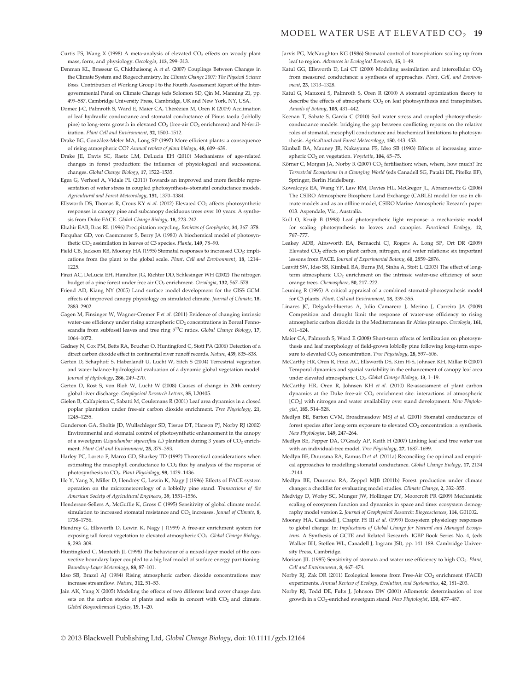- Curtis PS, Wang X (1998) A meta-analysis of elevated CO<sub>2</sub> effects on woody plant mass, form, and physiology. Oecologia, 113, 299–313.
- Denman KL, Brasseur G, Chidthaisong A et al. (2007) Couplings Between Changes in the Climate System and Biogeochemistry. In: Climate Change 2007: The Physical Science Basis. Contribution of Working Group I to the Fourth Assessment Report of the Intergovernmental Panel on Climate Change (eds Solomon SD, Qin M, Manning Z), pp. 499–587. Cambridge University Press, Cambridge, UK and New York, NY, USA.
- Domec J-C, Palmroth S, Ward E, Maier CA, Thérézien M, Oren R (2009) Acclimation of leaf hydraulic conductance and stomatal conductance of Pinus taeda (loblolly pine) to long-term growth in elevated  $CO<sub>2</sub>$  (free-air  $CO<sub>2</sub>$  enrichment) and N-fertilization. Plant Cell and Environment, 32, 1500–1512.
- Drake BG, Gonzalez-Meler MA, Long SP (1997) More efficient plants: a consequence of rising atmospheric CO? Annual review of plant biology, 48, 609–639.
- Drake JE, Davis SC, Raetz LM, DeLucia EH (2010) Mechanisms of age-related changes in forest production: the influence of physiological and successional changes. Global Change Biology, 17, 1522–1535.
- Egea G, Verhoef A, Vidale PL (2011) Towards an improved and more flexible representation of water stress in coupled photosynthesis–stomatal conductance models. Agricultural and Forest Meteorology, 151, 1370–1384.
- Ellsworth DS, Thomas R, Crous KY et al. (2012) Elevated CO<sub>2</sub> affects photosynthetic responses in canopy pine and subcanopy deciduous trees over 10 years: A synthesis from Duke FACE. Global Change Biology, 18, 223–242.
- Eltahir EAB, Bras RL (1996) Precipitation recycling. Reviews of Geophysics, 34, 367–378. Farquhar GD, von Caemmerer S, Berry JA (1980) A biochemical model of photosynthetic CO<sub>2</sub> assimilation in leaves of C3 species. Planta, 149, 78-90.
- Field CB, Jackson RB, Mooney HA (1995) Stomatal responses to increased CO<sub>2</sub>: implications from the plant to the global scale. Plant, Cell and Environment, 18, 1214– 1225.
- Finzi AC, DeLucia EH, Hamilton JG, Richter DD, Schlesinger WH (2002) The nitrogen budget of a pine forest under free air CO<sub>2</sub> enrichment. Oecologia, 132, 567-578.
- Friend AD, Kiang NY (2005) Land surface model development for the GISS GCM: effects of improved canopy physiology on simulated climate. Journal of Climate, 18, 2883–2902.
- Gagen M, Finsinger W, Wagner-Cremer F et al. (2011) Evidence of changing intrinsic water-use efficiency under rising atmospheric CO<sub>2</sub> concentrations in Boreal Fennoscandia from subfossil leaves and tree ring  $\delta^{13}C$  ratios. Global Change Biology, 17, 1064–1072.
- Gedney N, Cox PM, Betts RA, Boucher O, Huntingford C, Stott PA (2006) Detection of a direct carbon dioxide effect in continental river runoff records. Nature, 439, 835–838.
- Gerten D, Schaphoff S, Haberlandt U, Lucht W, Sitch S (2004) Terrestrial vegetation and water balance-hydrological evaluation of a dynamic global vegetation model. Journal of Hydrology, 286, 249–270.
- Gerten D, Rost S, von Bloh W, Lucht W (2008) Causes of change in 20th century global river discharge. Geophysical Research Letters, 35, L20405.
- Gielen B, Calfapietra C, Sabatti M, Ceulemans R (2001) Leaf area dynamics in a closed poplar plantation under free-air carbon dioxide enrichment. Tree Physiology, 21, 1245–1255.
- Gunderson GA, Sholtis JD, Wullschleger SD, Tissue DT, Hanson PJ, Norby RJ (2002) Environmental and stomatal control of photosynthetic enhancement in the canopy of a sweetgum (Liquidambar styraciflua L.) plantation during 3 years of  $CO<sub>2</sub>$  enrichment. Plant Cell and Environment, 25, 379–393.
- Harley PC, Loreto F, Marco GD, Sharkey TD (1992) Theoretical considerations when estimating the mesophyll conductance to  $CO<sub>2</sub>$  flux by analysis of the response of photosynthesis to CO2. Plant Physiology, 98, 1429–1436.
- He Y, Yang X, Miller D, Hendrey G, Lewin K, Nagy J (1996) Effects of FACE system operation on the micrometeorology of a loblolly pine stand. Transactions of the American Society of Agricultural Engineers, 39, 1551–1556.
- Henderson-Sellers A, McGuffie K, Gross C (1995) Sensitivity of global climate model simulation to increased stomatal resistance and CO<sub>2</sub> increases. Jounal of Climate, 8, 1738–1756.
- Hendrey G, Ellsworth D, Lewin K, Nagy J (1999) A free-air enrichment system for exposing tall forest vegetation to elevated atmospheric CO<sub>2</sub>. Global Change Biology, 5, 293–309.
- Huntingford C, Monteith JL (1998) The behaviour of a mixed-layer model of the convective boundary layer coupled to a big leaf model of surface energy partitioning. Boundary-Layer Meterology, 88, 87–101.
- Idso SB, Brazel AJ (1984) Rising atmospheric carbon dioxide concentrations may increase streamflow. Nature, 312, 51–53.
- Jain AK, Yang X (2005) Modeling the effects of two different land cover change data sets on the carbon stocks of plants and soils in concert with  $CO<sub>2</sub>$  and climate. Global Biogeochemical Cycles, 19, 1–20.
- Jarvis PG, McNaughton KG (1986) Stomatal control of transpiration: scaling up from leaf to region. Advances in Ecological Research, 15, 1–49.
- Katul GG, Ellsworth D, Lai CT (2000) Modeling assimilation and intercellular CO<sub>2</sub> from measured conductance: a synthesis of approaches. Plant, Cell, and Environment, 23, 1313–1328.
- Katul G, Manzoni S, Palmroth S, Oren R (2010) A stomatal optimization theory to describe the effects of atmospheric CO<sub>2</sub> on leaf photosynthesis and transpiration. Annals of Botany, 105, 431–442.
- Keenan T, Sabate S, Garcia C (2010) Soil water stress and coupled photosynthesisconductance models: bridging the gap between conflicting reports on the relative roles of stomatal, mesophyll conductance and biochemical limitations to photosynthesis. Agricultural and Forest Meteorology, 150, 443–453.
- Kimball BA, Mauney JR, Nakayama FS, Idso SB (1993) Effects of increasing atmospheric CO<sub>2</sub> on vegetation. Vegetatio, 104, 65-75.
- Körner C, Morgan JA, Norby R (2007) CO<sub>2</sub> fertilisation: when, where, how much? In: Terrestrial Ecosystems in a Changing World (eds Canadell SG, Pataki DE, Pitelka EF), Springer, Berlin Heidelberg.
- Kowalczyk EA, Wang YP, Law RM, Davies HL, McGregor JL, Abramowitz G (2006) The CSIRO Atmosphere Biosphere Land Exchange (CABLE) model for use in climate models and as an offline model, CSIRO Marine Atmospheric Research paper 013. Aspendale, Vic., Australia.
- Kull O, Kruijt B (1998) Leaf photosynthetic light response: a mechanistic model for scaling photosynthesis to leaves and canopies. Functional Ecology, 12, 767–777.
- Leakey ADB, Ainsworth EA, Bernacchi CJ, Rogers A, Long SP, Ort DR (2009) Elevated CO2 effects on plant carbon, nitrogen, and water relations: six important lessons from FACE. Journal of Experimental Botany, 60, 2859–2876.
- Leavitt SW, Idso SB, Kimball BA, Burns JM, Sinha A, Stott L (2003) The effect of longterm atmospheric CO<sub>2</sub> enrichment on the intrinsic water-use efficiency of sour orange trees. Chemosphere, 50, 217–222.
- Leuning R (1995) A critical appraisal of a combined stomatal-photosynthesis model for C3 plants. Plant, Cell and Environment, 18, 339–355.
- Linares JC, Delgado-Huertas A, Julio Camarero J, Merino J, Carreira JA (2009) Competition and drought limit the response of water-use efficiency to rising atmospheric carbon dioxide in the Mediterranean fir Abies pinsapo. Oecologia, 161, 611–624.
- Maier CA, Palmroth S, Ward E (2008) Short-term effects of fertilization on photosynthesis and leaf morphology of field-grown loblolly pine following long-term exposure to elevated CO<sub>2</sub> concentration. Tree Physiology, 28, 597-606.
- McCarthy HR, Oren R, Finzi AC, Ellsworth DS, Kim H-S, Johnsen KH, Millar B (2007) Temporal dynamics and spatial variability in the enhancement of canopy leaf area under elevated atmospheric CO<sub>2</sub>. Global Change Biology, 13, 1-19.
- McCarthy HR, Oren R, Johnsen KH et al. (2010) Re-assessment of plant carbon dynamics at the Duke free-air CO2 enrichment site: interactions of atmospheric [CO<sub>2</sub>] with nitrogen and water availability over stand development. New Phytologist, 185, 514–528.
- Medlyn BE, Barton CVM, Broadmeadow MSJ et al. (2001) Stomatal conductance of forest species after long-term exposure to elevated  $CO<sub>2</sub>$  concentration: a synthesis. New Phytologist, 149, 247–264.
- Medlyn BE, Pepper DA, O'Grady AP, Keith H (2007) Linking leaf and tree water use with an individual-tree model. Tree Physiology, 27, 1687–1699.
- Medlyn BE, Duursma RA, Eamus D et al. (2011a) Reconciling the optimal and empirical approaches to modelling stomatal conductance. Global Change Biology, 17, 2134 –2144.
- Medlyn BE, Duursma RA, Zeppel MJB (2011b) Forest production under climate change: a checklist for evaluating model studies. Climate Change, 2, 332–355.
- Medvigy D, Wofsy SC, Munger JW, Hollinger DY, Moorcroft PR (2009) Mechanistic scaling of ecosystem function and dynamics in space and time: ecosystem demography model version 2. Journal of Geophysical Research: Biogeosciences, 114, G01002.
- Mooney HA, Canadell J, Chapin FS III et al. (1999) Ecosystem physiology responses to global change. In: Implications of Global Change for Natural and Managed Ecosystems. A Synthesis of GCTE and Related Research. IGBP Book Series No. 4, (eds Walker BH, Steffen WL, Canadell J, Ingram JSI), pp. 141–189. Cambridge University Press, Cambridge.
- Morison JIL (1985) Sensitivity of stomata and water use efficiency to high CO<sub>2</sub>. Plant, Cell and Environment, 8, 467–474.
- Norby RJ, Zak DR (2011) Ecological lessons from Free-Air CO<sub>2</sub> enrichment (FACE) experiments. Annual Review of Ecology, Evolution, and Systematics, 42, 181–203.
- Norby RJ, Todd DE, Fults J, Johnson DW (2001) Allometric determination of tree growth in a CO<sub>2</sub>-enriched sweetgum stand. New Phytologist, 150, 477-487.

© 2013 Blackwell Publishing Ltd, Global Change Biology, doi: 10.1111/gcb.12164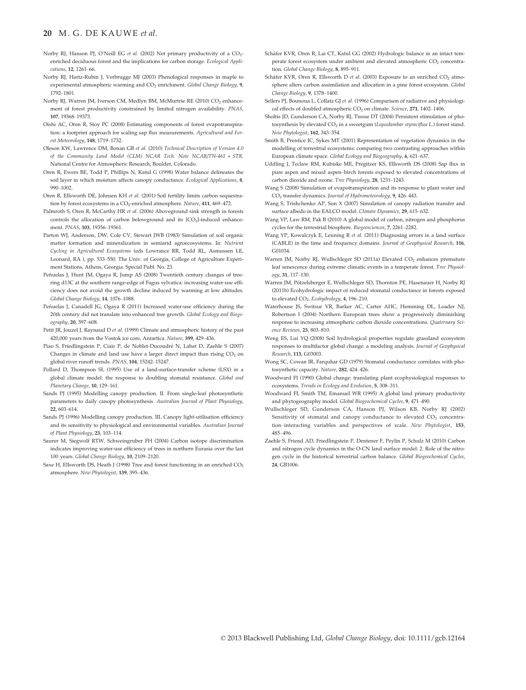## 20 M. G. DE KAUWE et al.

- Norby RL Hanson PL O'Neill EG et al. (2002) Net primary productivity of a  $CO<sub>2</sub>$ enriched deciduous forest and the implications for carbon storage. Ecological Applications, 12, 1261–66.
- Norby RJ, Hartz-Rubin J, Verbrugge MJ (2003) Phenological responses in maple to experimental atmospheric warming and CO<sub>2</sub> enrichment. Global Change Biology, 9, 1792–1801.
- Norby RJ, Warren JM, Iverson CM, Medlyn BM, McMurtrie RE (2010) CO<sub>2</sub> enhancement of forest productivity constrained by limited nitrogen availability. PNAS 107, 19368–19373.
- Oishi AC, Oren R, Stoy PC (2008) Estimating components of forest evapotranspiration: a footprint approach for scaling sap flux measurements. Agricultural and Forest Meteorology, 148, 1719–1732.
- Oleson KW, Lawrence DM, Bonan GB et al. (2010) Technical Description of Version 4.0 of the Community Land Model (CLM) NCAR Tech. Note NCAR/TN-461 + STR. National Centre for Atmospheric Research, Boulder, Colorado.
- Oren R, Ewers BE, Todd P, Phillips N, Katul G (1998) Water balance delineates the soil layer in which moisture affects canopy conductance. Ecological Applications, 8, 990–1002.
- Oren R, Ellsworth DE, Johnsen KH et al. (2001) Soil fertility limits carbon sequestration by forest ecosystems in a CO<sub>2</sub>-enriched atmosphere. Nature, 411, 469-472.
- Palmroth S, Oren R, McCarthy HR et al. (2006) Aboveground sink strength in forests controls the allocation of carbon belowground and its  $[CO<sub>2</sub>]$ -induced enhancement. PNAS, 103, 19356–19361.
- Parton WJ, Anderson, DW, Cole CV, Stewart JWB (1983) Simulation of soil organic matter formation and mineralization in semiarid agroecosystems. In: Nutrient Cycling in Agricultural Ecosystems (eds Lowrance RR, Todd RL, Asmussen LE, Leonard, RA ), pp. 533–550. The Univ. of Georgia, College of Agriculture Experiment Stations, Athens, Georgia. Special Publ. No. 23.
- Peñuelas J, Hunt JM, Ogaya R, Jump AS (2008) Twentieth century changes of treering d13C at the southern range-edge of Fagus sylvatica: increasing water-use efficiency does not avoid the growth decline induced by warming at low altitudes. Global Change Biology, 14, 1076–1088.
- Peñuelas J, Canadell JG, Ogaya R (2011) Increased water-use efficiency during the 20th century did not translate into enhanced tree growth. Global Ecology and Biogeography, 20, 597–608.
- Petit JR, Jouzel J, Raynaud D et al. (1999) Climate and atmospheric history of the past 420,000 years from the Vostok ice core, Antartica. Nature, 399, 429–436.
- Piao S, Friedlingstein P, Ciais P, de Noblet-Ducoudré N, Labat D, Zaehle S (2007) Changes in climate and land use have a larger direct impact than rising  $CO<sub>2</sub>$  on global river runoff trends. PNAS, 104, 15242–15247.
- Pollard D, Thompson SL (1995) Use of a land-surface-transfer scheme (LSX) in a global climate model: the response to doubling stomatal resistance. Global and Planetary Change, 10, 129–161.
- Sands PJ (1995) Modelling canopy production. II. From single-leaf photosynthetic parameters to daily canopy photosynthesis. Australian Journal of Plant Physiology, 22, 603–614.
- Sands PJ (1996) Modelling canopy production. III. Canopy light-utilisation efficiency and its sensitivity to physiological and environmental variables. Australian Journal of Plant Physiology, 23, 103–114.
- Saurer M, Siegwolf RTW, Schweingruber FH (2004) Carbon isotope discrimination indicates improving water-use efficiency of trees in northern Eurasia over the last 100 years. Global Change Biology, 10, 2109–2120.
- Saxe H, Ellsworth DS, Heath J (1998) Tree and forest functioning in an enriched  $CO<sub>2</sub>$ atmosphere. New Phytologist, 139, 395–436.
- Schäfer KVR, Oren R, Lai CT, Katul GG (2002) Hydrologic balance in an intact temperate forest ecosystem under ambient and elevated atmospheric CO<sub>2</sub> concentration. Global Change Biology, 8, 895-911.
- Schäfer KVR, Oren R, Ellsworth D et al. (2003) Exposure to an enriched  $CO<sub>2</sub>$  atmosphere alters carbon assimilation and allocation in a pine forest ecosystem. Global Change Biology, 9, 1378–1400.
- Sellers PJ, Bounoua L, Collatz GJ et al. (1996) Comparison of radiative and physiological effects of doubled atmospheric CO<sub>2</sub> on climate. Science, 271, 1402–1406.
- Sholtis JD, Gunderson CA, Norby RJ, Tissue DT (2004) Persistent stimulation of photosynthesis by elevated  $CO<sub>2</sub>$  in a sweetgum (Liquidambar styraciflua L.) forest stand. New Phytologist, 162, 343–354.
- Smith B, Prentice IC, Sykes MT (2001) Representation of vegetation dynamics in the modelling of terrestrial ecosystems: comparing two contrasting approaches within European climate space. Global Ecology and Biogeography, 6, 621–637.
- Uddling J, Teclaw RM, Kubiske ME, Pregitzer KS, Ellsworth DS (2008) Sap flux in pure aspen and mixed aspen–birch forests exposed to elevated concentrations of carbon dioxide and ozone. Tree Physiology, 28, 1231–1243.
- Wang S (2008) Simulation of evapotranspiration and its response to plant water and CO2 transfer dynamics. Journal of Hydrometeorology, 9, 426–443.
- Wang S, Trishchenko AP, Sun X (2007) Simulation of canopy radiation transfer and surface albedo in the EALCO model. Climate Dynamics, 29, 615-632.
- Wang YP, Law RM, Pak B (2010) A global model of carbon, nitrogen and phosphorus cycles for the terrestrial biosphere. Biogeosciences, 7, 2261–2282.
- Wang YP, Kowalczyk E, Leuning R et al. (2011) Diagnosing errors in a land surface (CABLE) in the time and frequency domains. Journal of Geophysical Research, 116, G01034.
- Warren JM, Norby RJ, Wullschleger SD (2011a) Elevated CO<sub>2</sub> enhances premature leaf senescence during extreme climatic events in a temperate forest. Tree Physiology, 31, 117–130.
- Warren JM, Pötzelsberger E, Wullschleger SD, Thornton PE, Hasenauer H, Norby RJ (2011b) Ecohydrologic impact of reduced stomatal conductance in forests exposed to elevated CO<sub>2</sub>. Ecohydrology, 4, 196-210.
- Waterhouse JS, Switsur VR, Barker AC, Carter AHC, Hemming DL, Loader NJ, Robertson I (2004) Northern European trees show a progressively diminishing response to increasing atmospheric carbon dioxide concentrations. Quaternary Science Reviews, 23, 803–810.
- Weng ES, Lui YQ (2008) Soil hydrological properties regulate grassland ecosystem responses to multifactor global change: a modeling analysis. Journal of Geophysical Research, 113, G03003.
- Wong SC, Cowan IR, Farquhar GD (1979) Stomatal conductance correlates with photosynthetic capacity. Nature, 282, 424–426.
- Woodward FI (1990) Global change: translating plant ecophysiological responses to ecosystems. Trends in Ecology and Evolution, 5, 308–311.
- Woodward FI, Smith TM, Emanuel WR (1995) A global land primary productivity and phytogeography model. Global Biogeochemical Cycles, 9, 471–490.
- Wullschleger SD, Gunderson CA, Hanson PJ, Wilson KB, Norby RJ (2002) Sensitivity of stomatal and canopy conductance to elevated  $CO<sub>2</sub>$  concentration–interacting variables and perspectives of scale. New Phytologist, 153, 485–496.
- Zaehle S, Friend AD, Friedlingstein P, Dentener F, Peylin P, Schulz M (2010) Carbon and nitrogen cycle dynamics in the O-CN land surface model: 2. Role of the nitrogen cycle in the historical terrestrial carbon balance. Global Biogeochemical Cycles, 24, GB1006.